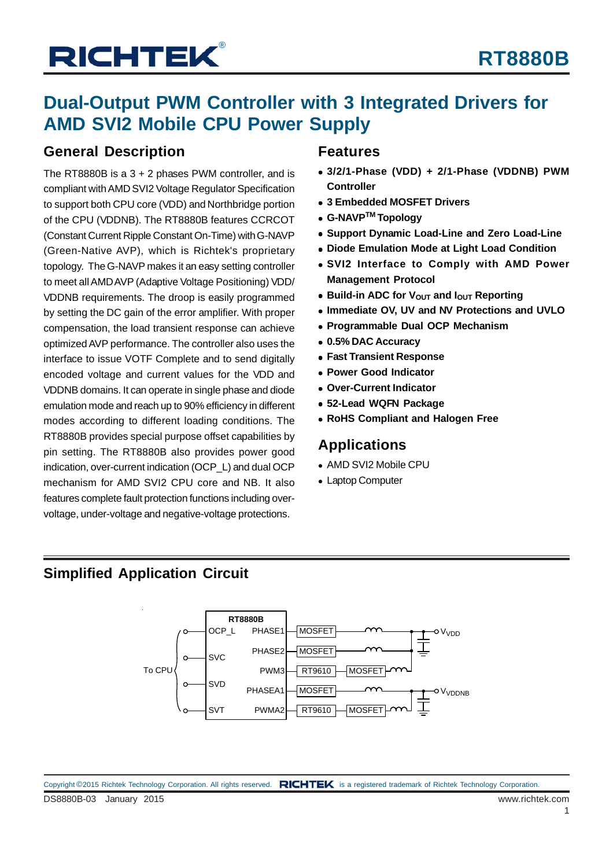### **Dual-Output PWM Controller with 3 Integrated Drivers for AMD SVI2 Mobile CPU Power Supply**

### **General Description**

The RT8880B is a 3 + 2 phases PWM controller, and is compliant with AMD SVI2 Voltage Regulator Specification to support both CPU core (VDD) and Northbridge portion of the CPU (VDDNB). The RT8880B features CCRCOT (Constant Current Ripple Constant On-Time) with G-NAVP (Green-Native AVP), which is Richtek's proprietary topology. The G-NAVP makes it an easy setting controller to meet all AMD AVP (Adaptive Voltage Positioning) VDD/ VDDNB requirements. The droop is easily programmed by setting the DC gain of the error amplifier. With proper compensation, the load transient response can achieve optimized AVP performance. The controller also uses the interface to issue VOTF Complete and to send digitally encoded voltage and current values for the VDD and VDDNB domains. It can operate in single phase and diode emulation mode and reach up to 90% efficiency in different modes according to different loading conditions. The RT8880B provides special purpose offset capabilities by pin setting. The RT8880B also provides power good indication, over-current indication (OCP\_L) and dual OCP mechanism for AMD SVI2 CPU core and NB. It also features complete fault protection functions including overvoltage, under-voltage and negative-voltage protections.

### **Features**

- **3/2/1-Phase (VDD) + 2/1-Phase (VDDNB) PWM Controller**
- **3 Embedded MOSFET Drivers**
- **G-NAVPTM Topology**
- **Support Dynamic Load-Line and Zero Load-Line**
- **Diode Emulation Mode at Light Load Condition**
- **SVI2 Interface to Comply with AMD Power Management Protocol**
- **Build-in ADC for V<sub>OUT</sub> and I<sub>OUT</sub> Reporting**
- **Immediate OV, UV and NV Protections and UVLO**
- **Programmable Dual OCP Mechanism**
- **0.5% DAC Accuracy**
- **Fast Transient Response**
- **Power Good Indicator**
- **Over-Current Indicator**
- **52-Lead WQFN Package**
- **RoHS Compliant and Halogen Free**

### **Applications**

- AMD SVI2 Mobile CPU
- Laptop Computer

### **Simplified Application Circuit**

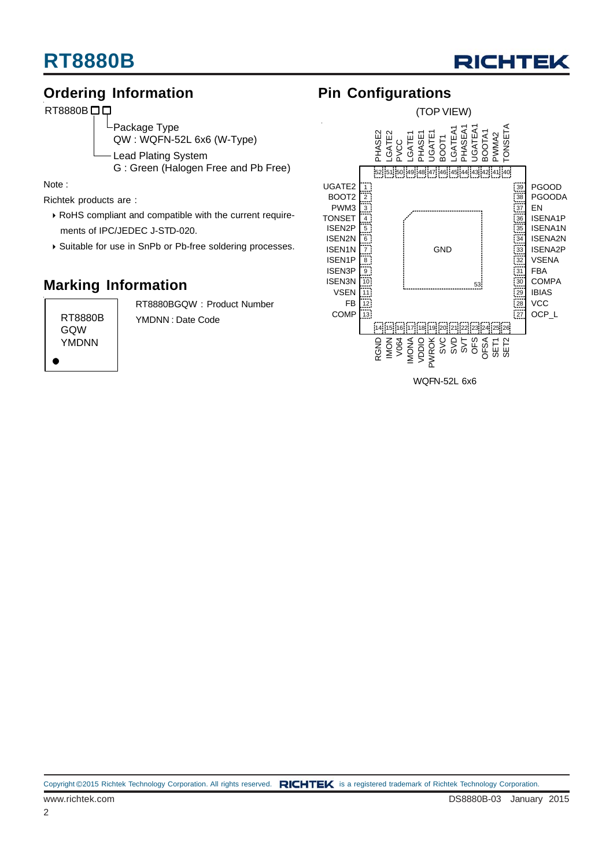

### **Ordering Information**

RT8880B<sub>D</sub>D

Package Type

QW : WQFN-52L 6x6 (W-Type)

Lead Plating System

G : Green (Halogen Free and Pb Free)

Note :

Richtek products are :

- RoHS compliant and compatible with the current require ments of IPC/JEDEC J-STD-020.
- Suitable for use in SnPb or Pb-free soldering processes.

### **Marking Information**

RT8880B GQW YMDNN

RT8880BGQW : Product Number YMDNN : Date Code

### **Pin Configurations**

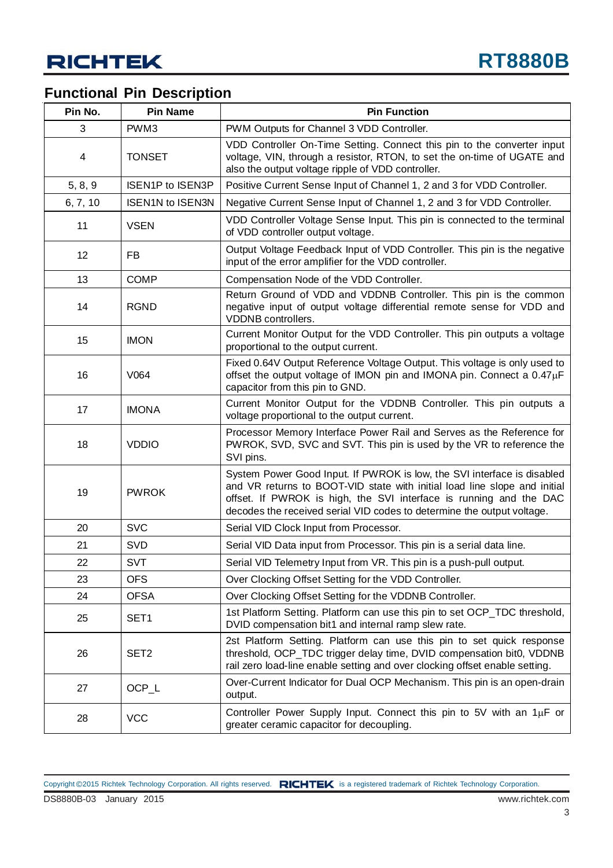### **Functional Pin Description**

| Pin No.  | <b>Pin Name</b>         | <b>Pin Function</b>                                                                                                                                                                                                                                                                                  |
|----------|-------------------------|------------------------------------------------------------------------------------------------------------------------------------------------------------------------------------------------------------------------------------------------------------------------------------------------------|
| 3        | PWM3                    | PWM Outputs for Channel 3 VDD Controller.                                                                                                                                                                                                                                                            |
| 4        | <b>TONSET</b>           | VDD Controller On-Time Setting. Connect this pin to the converter input<br>voltage, VIN, through a resistor, RTON, to set the on-time of UGATE and<br>also the output voltage ripple of VDD controller.                                                                                              |
| 5, 8, 9  | <b>ISEN1P to ISEN3P</b> | Positive Current Sense Input of Channel 1, 2 and 3 for VDD Controller.                                                                                                                                                                                                                               |
| 6, 7, 10 | <b>ISEN1N to ISEN3N</b> | Negative Current Sense Input of Channel 1, 2 and 3 for VDD Controller.                                                                                                                                                                                                                               |
| 11       | <b>VSEN</b>             | VDD Controller Voltage Sense Input. This pin is connected to the terminal<br>of VDD controller output voltage.                                                                                                                                                                                       |
| 12       | <b>FB</b>               | Output Voltage Feedback Input of VDD Controller. This pin is the negative<br>input of the error amplifier for the VDD controller.                                                                                                                                                                    |
| 13       | <b>COMP</b>             | Compensation Node of the VDD Controller.                                                                                                                                                                                                                                                             |
| 14       | <b>RGND</b>             | Return Ground of VDD and VDDNB Controller. This pin is the common<br>negative input of output voltage differential remote sense for VDD and<br>VDDNB controllers.                                                                                                                                    |
| 15       | <b>IMON</b>             | Current Monitor Output for the VDD Controller. This pin outputs a voltage<br>proportional to the output current.                                                                                                                                                                                     |
| 16       | V064                    | Fixed 0.64V Output Reference Voltage Output. This voltage is only used to<br>offset the output voltage of IMON pin and IMONA pin. Connect a $0.47\mu F$<br>capacitor from this pin to GND.                                                                                                           |
| 17       | <b>IMONA</b>            | Current Monitor Output for the VDDNB Controller. This pin outputs a<br>voltage proportional to the output current.                                                                                                                                                                                   |
| 18       | <b>VDDIO</b>            | Processor Memory Interface Power Rail and Serves as the Reference for<br>PWROK, SVD, SVC and SVT. This pin is used by the VR to reference the<br>SVI pins.                                                                                                                                           |
| 19       | <b>PWROK</b>            | System Power Good Input. If PWROK is low, the SVI interface is disabled<br>and VR returns to BOOT-VID state with initial load line slope and initial<br>offset. If PWROK is high, the SVI interface is running and the DAC<br>decodes the received serial VID codes to determine the output voltage. |
| 20       | <b>SVC</b>              | Serial VID Clock Input from Processor.                                                                                                                                                                                                                                                               |
| 21       | <b>SVD</b>              | Serial VID Data input from Processor. This pin is a serial data line.                                                                                                                                                                                                                                |
| 22       | SVT                     | Serial VID Telemetry Input from VR. This pin is a push-pull output.                                                                                                                                                                                                                                  |
| 23       | <b>OFS</b>              | Over Clocking Offset Setting for the VDD Controller.                                                                                                                                                                                                                                                 |
| 24       | <b>OFSA</b>             | Over Clocking Offset Setting for the VDDNB Controller.                                                                                                                                                                                                                                               |
| 25       | SET <sub>1</sub>        | 1st Platform Setting. Platform can use this pin to set OCP_TDC threshold,<br>DVID compensation bit1 and internal ramp slew rate.                                                                                                                                                                     |
| 26       | SET <sub>2</sub>        | 2st Platform Setting. Platform can use this pin to set quick response<br>threshold, OCP_TDC trigger delay time, DVID compensation bit0, VDDNB<br>rail zero load-line enable setting and over clocking offset enable setting.                                                                         |
| 27       | OCP_L                   | Over-Current Indicator for Dual OCP Mechanism. This pin is an open-drain<br>output.                                                                                                                                                                                                                  |
| 28       | <b>VCC</b>              | Controller Power Supply Input. Connect this pin to 5V with an $1\mu$ F or<br>greater ceramic capacitor for decoupling.                                                                                                                                                                               |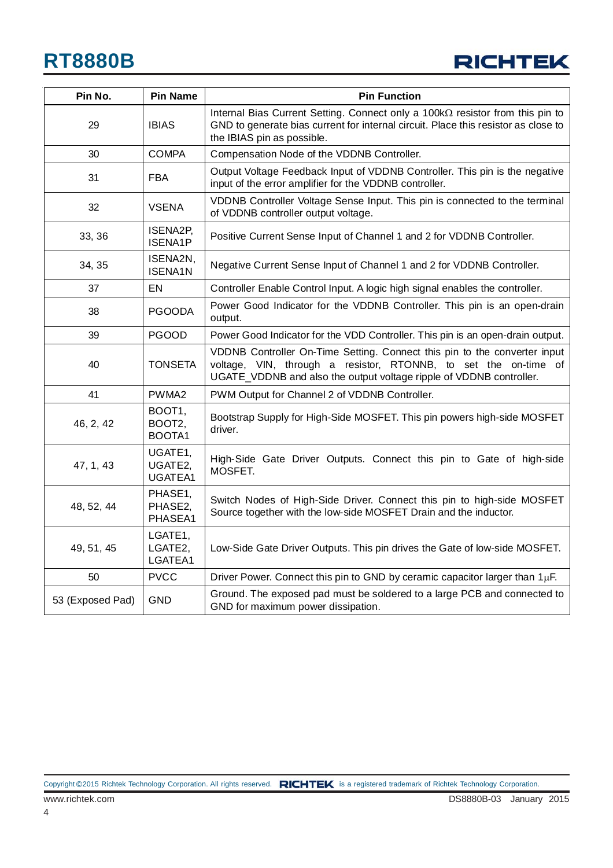

| Pin No.          | <b>Pin Name</b>                      | <b>Pin Function</b>                                                                                                                                                                                                 |
|------------------|--------------------------------------|---------------------------------------------------------------------------------------------------------------------------------------------------------------------------------------------------------------------|
| 29               | <b>IBIAS</b>                         | Internal Bias Current Setting. Connect only a 100kΩ resistor from this pin to<br>GND to generate bias current for internal circuit. Place this resistor as close to<br>the IBIAS pin as possible.                   |
| 30               | <b>COMPA</b>                         | Compensation Node of the VDDNB Controller.                                                                                                                                                                          |
| 31               | <b>FBA</b>                           | Output Voltage Feedback Input of VDDNB Controller. This pin is the negative<br>input of the error amplifier for the VDDNB controller.                                                                               |
| 32               | <b>VSENA</b>                         | VDDNB Controller Voltage Sense Input. This pin is connected to the terminal<br>of VDDNB controller output voltage.                                                                                                  |
| 33, 36           | ISENA2P,<br><b>ISENA1P</b>           | Positive Current Sense Input of Channel 1 and 2 for VDDNB Controller.                                                                                                                                               |
| 34, 35           | ISENA2N,<br><b>ISENA1N</b>           | Negative Current Sense Input of Channel 1 and 2 for VDDNB Controller.                                                                                                                                               |
| 37               | EN                                   | Controller Enable Control Input. A logic high signal enables the controller.                                                                                                                                        |
| 38               | <b>PGOODA</b>                        | Power Good Indicator for the VDDNB Controller. This pin is an open-drain<br>output.                                                                                                                                 |
| 39               | <b>PGOOD</b>                         | Power Good Indicator for the VDD Controller. This pin is an open-drain output.                                                                                                                                      |
| 40               | <b>TONSETA</b>                       | VDDNB Controller On-Time Setting. Connect this pin to the converter input<br>voltage, VIN, through a resistor, RTONNB, to set the on-time of<br>UGATE_VDDNB and also the output voltage ripple of VDDNB controller. |
| 41               | PWMA2                                | PWM Output for Channel 2 of VDDNB Controller.                                                                                                                                                                       |
| 46, 2, 42        | BOOT1,<br>BOOT2,<br>BOOTA1           | Bootstrap Supply for High-Side MOSFET. This pin powers high-side MOSFET<br>driver.                                                                                                                                  |
| 47, 1, 43        | UGATE1,<br>UGATE2,<br><b>UGATEA1</b> | High-Side Gate Driver Outputs. Connect this pin to Gate of high-side<br>MOSFET.                                                                                                                                     |
| 48, 52, 44       | PHASE1,<br>PHASE2,<br>PHASEA1        | Switch Nodes of High-Side Driver. Connect this pin to high-side MOSFET<br>Source together with the low-side MOSFET Drain and the inductor.                                                                          |
| 49, 51, 45       | LGATE1,<br>LGATE2,<br>LGATEA1        | Low-Side Gate Driver Outputs. This pin drives the Gate of low-side MOSFET.                                                                                                                                          |
| 50               | <b>PVCC</b>                          | Driver Power. Connect this pin to GND by ceramic capacitor larger than $1\mu$ F.                                                                                                                                    |
| 53 (Exposed Pad) | GND                                  | Ground. The exposed pad must be soldered to a large PCB and connected to<br>GND for maximum power dissipation.                                                                                                      |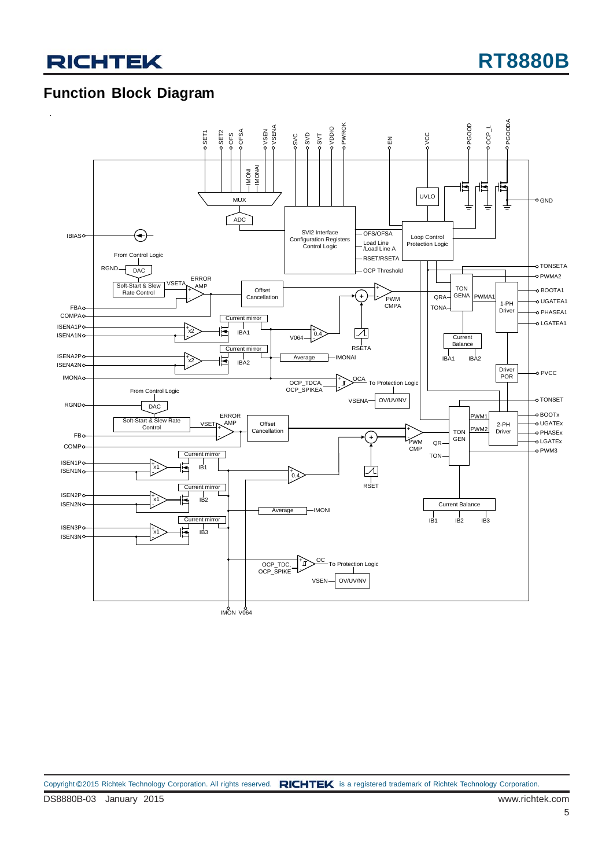### **Function Block Diagram**

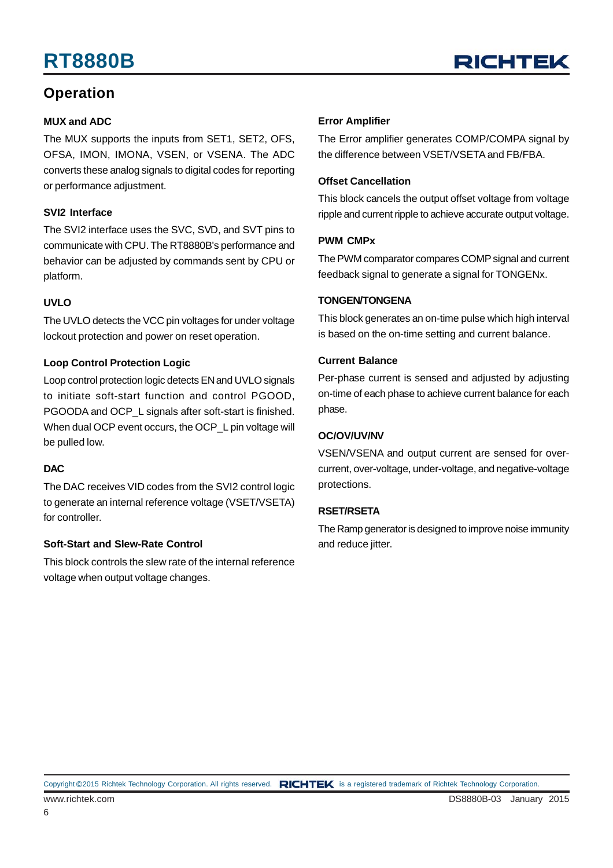### **Operation**

#### **MUX and ADC**

The MUX supports the inputs from SET1, SET2, OFS, OFSA, IMON, IMONA, VSEN, or VSENA. The ADC converts these analog signals to digital codes for reporting or performance adjustment.

#### **SVI2 Interface**

The SVI2 interface uses the SVC, SVD, and SVT pins to communicate with CPU. The RT8880B's performance and behavior can be adjusted by commands sent by CPU or platform.

#### **UVLO**

The UVLO detects the VCC pin voltages for under voltage lockout protection and power on reset operation.

#### **Loop Control Protection Logic**

Loop control protection logic detects EN and UVLO signals to initiate soft-start function and control PGOOD, PGOODA and OCP\_L signals after soft-start is finished. When dual OCP event occurs, the OCP\_L pin voltage will be pulled low.

#### **DAC**

The DAC receives VID codes from the SVI2 control logic to generate an internal reference voltage (VSET/VSETA) for controller.

#### **Soft-Start and Slew-Rate Control**

This block controls the slew rate of the internal reference voltage when output voltage changes.

#### **Error Amplifier**

The Error amplifier generates COMP/COMPA signal by the difference between VSET/VSETA and FB/FBA.

#### **Offset Cancellation**

This block cancels the output offset voltage from voltage ripple and current ripple to achieve accurate output voltage.

#### **PWM CMPx**

The PWM comparator compares COMP signal and current feedback signal to generate a signal for TONGENx.

#### **TONGEN/TONGENA**

This block generates an on-time pulse which high interval is based on the on-time setting and current balance.

#### **Current Balance**

Per-phase current is sensed and adjusted by adjusting on-time of each phase to achieve current balance for each phase.

#### **OC/OV/UV/NV**

VSEN/VSENA and output current are sensed for overcurrent, over-voltage, under-voltage, and negative-voltage protections.

#### **RSET/RSETA**

The Ramp generator is designed to improve noise immunity and reduce jitter.

Copyright ©2015 Richtek Technology Corporation. All rights reserved. RICHTEK is a registered trademark of Richtek Technology Corporation.

6

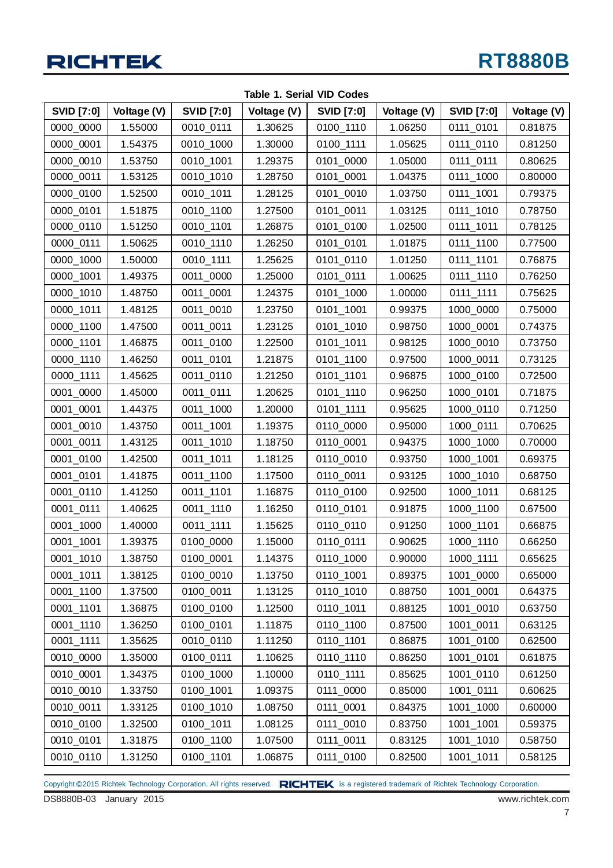

| <b>SVID [7:0]</b> | Voltage (V) | <b>SVID [7:0]</b> | Voltage (V) | <b>SVID [7:0]</b> | Voltage (V) | <b>SVID [7:0]</b> | Voltage (V) |
|-------------------|-------------|-------------------|-------------|-------------------|-------------|-------------------|-------------|
| 0000_0000         | 1.55000     | 0010_0111         | 1.30625     | 0100_1110         | 1.06250     | 0111_0101         | 0.81875     |
| 0000_0001         | 1.54375     | 0010_1000         | 1.30000     | 0100_1111         | 1.05625     | 0111_0110         | 0.81250     |
| 0000_0010         | 1.53750     | 0010_1001         | 1.29375     | 0101_0000         | 1.05000     | 0111_0111         | 0.80625     |
| 0000_0011         | 1.53125     | 0010_1010         | 1.28750     | 0101_0001         | 1.04375     | 0111_1000         | 0.80000     |
| 0000_0100         | 1.52500     | 0010_1011         | 1.28125     | 0101_0010         | 1.03750     | 0111_1001         | 0.79375     |
| 0000_0101         | 1.51875     | 0010_1100         | 1.27500     | 0101_0011         | 1.03125     | 0111_1010         | 0.78750     |
| 0000_0110         | 1.51250     | 0010_1101         | 1.26875     | 0101_0100         | 1.02500     | 0111_1011         | 0.78125     |
| 0000_0111         | 1.50625     | 0010_1110         | 1.26250     | 0101_0101         | 1.01875     | 0111_1100         | 0.77500     |
| 0000_1000         | 1.50000     | 0010_1111         | 1.25625     | 0101_0110         | 1.01250     | 0111_1101         | 0.76875     |
| 0000_1001         | 1.49375     | 0011_0000         | 1.25000     | 0101_0111         | 1.00625     | 0111_1110         | 0.76250     |
| 0000_1010         | 1.48750     | 0011_0001         | 1.24375     | 0101_1000         | 1.00000     | 0111_1111         | 0.75625     |
| 0000_1011         | 1.48125     | 0011_0010         | 1.23750     | 0101_1001         | 0.99375     | 1000_0000         | 0.75000     |
| 0000 1100         | 1.47500     | 0011_0011         | 1.23125     | 0101_1010         | 0.98750     | 1000_0001         | 0.74375     |
| 0000_1101         | 1.46875     | 0011_0100         | 1.22500     | 0101_1011         | 0.98125     | 1000_0010         | 0.73750     |
| 0000_1110         | 1.46250     | 0011_0101         | 1.21875     | 0101_1100         | 0.97500     | 1000_0011         | 0.73125     |
| 0000_1111         | 1.45625     | 0011_0110         | 1.21250     | 0101_1101         | 0.96875     | 1000_0100         | 0.72500     |
| 0001_0000         | 1.45000     | 0011 0111         | 1.20625     | 0101_1110         | 0.96250     | 1000_0101         | 0.71875     |
| 0001_0001         | 1.44375     | 0011_1000         | 1.20000     | 0101_1111         | 0.95625     | 1000_0110         | 0.71250     |
| 0001_0010         | 1.43750     | 0011_1001         | 1.19375     | 0110_0000         | 0.95000     | 1000_0111         | 0.70625     |
| 0001_0011         | 1.43125     | 0011_1010         | 1.18750     | 0110_0001         | 0.94375     | 1000_1000         | 0.70000     |
| 0001_0100         | 1.42500     | 0011_1011         | 1.18125     | 0110_0010         | 0.93750     | 1000_1001         | 0.69375     |
| 0001_0101         | 1.41875     | 0011_1100         | 1.17500     | 0110_0011         | 0.93125     | 1000_1010         | 0.68750     |
| 0001_0110         | 1.41250     | 0011_1101         | 1.16875     | 0110_0100         | 0.92500     | 1000_1011         | 0.68125     |
| 0001_0111         | 1.40625     | 0011_1110         | 1.16250     | 0110_0101         | 0.91875     | 1000_1100         | 0.67500     |
| 0001_1000         | 1.40000     | 0011_1111         | 1.15625     | 0110_0110         | 0.91250     | 1000_1101         | 0.66875     |
| 0001_1001         | 1.39375     | 0100_0000         | 1.15000     | 0110_0111         | 0.90625     | 1000_1110         | 0.66250     |
| 0001_1010         | 1.38750     | 0100_0001         | 1.14375     | 0110_1000         | 0.90000     | 1000_1111         | 0.65625     |
| 0001 1011         | 1.38125     | 0100_0010         | 1.13750     | 0110_1001         | 0.89375     | 1001_0000         | 0.65000     |
| 0001_1100         | 1.37500     | 0100_0011         | 1.13125     | 0110_1010         | 0.88750     | 1001_0001         | 0.64375     |
| 0001_1101         | 1.36875     | 0100_0100         | 1.12500     | 0110_1011         | 0.88125     | 1001_0010         | 0.63750     |
| 0001_1110         | 1.36250     | 0100_0101         | 1.11875     | 0110_1100         | 0.87500     | 1001_0011         | 0.63125     |
| 0001_1111         | 1.35625     | 0010_0110         | 1.11250     | 0110_1101         | 0.86875     | 1001_0100         | 0.62500     |
| 0010_0000         | 1.35000     | 0100_0111         | 1.10625     | 0110_1110         | 0.86250     | 1001_0101         | 0.61875     |
| 0010 0001         | 1.34375     | 0100_1000         | 1.10000     | 0110_1111         | 0.85625     | 1001_0110         | 0.61250     |
| 0010_0010         | 1.33750     | 0100_1001         | 1.09375     | 0111_0000         | 0.85000     | 1001_0111         | 0.60625     |
| 0010_0011         | 1.33125     | 0100_1010         | 1.08750     | 0111_0001         | 0.84375     | 1001_1000         | 0.60000     |
| 0010_0100         | 1.32500     | 0100_1011         | 1.08125     | 0111_0010         | 0.83750     | 1001_1001         | 0.59375     |
| 0010_0101         | 1.31875     | 0100_1100         | 1.07500     | 0111_0011         | 0.83125     | 1001_1010         | 0.58750     |
| 0010_0110         | 1.31250     | 0100_1101         | 1.06875     | 0111_0100         | 0.82500     | 1001_1011         | 0.58125     |

**Table 1. Serial VID Codes**

Copyright ©2015 Richtek Technology Corporation. All rights reserved. RICHTEK is a registered trademark of Richtek Technology Corporation.

DS8880B-03 January 2015 www.richtek.com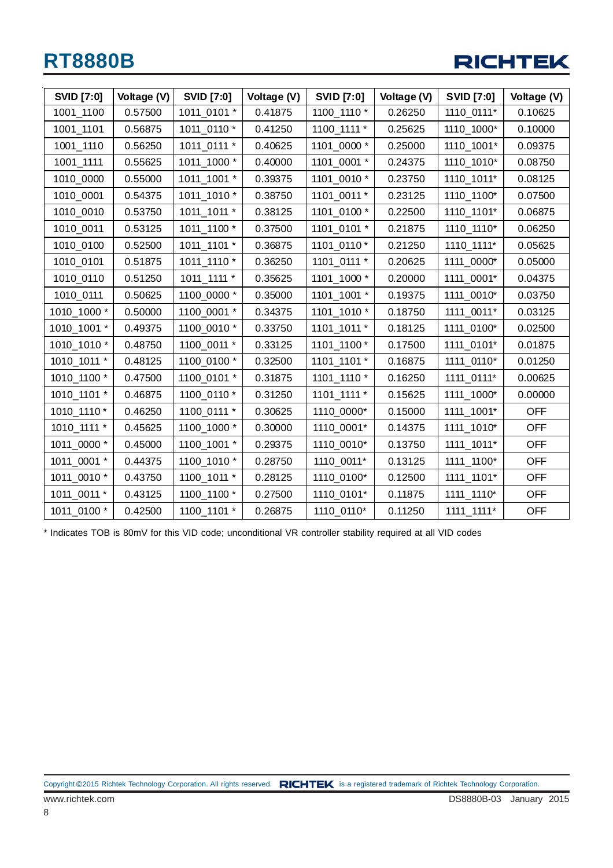

| <b>SVID [7:0]</b> | Voltage (V) | <b>SVID [7:0]</b> | Voltage (V) | <b>SVID [7:0]</b> | Voltage (V) | <b>SVID [7:0]</b> | Voltage (V) |
|-------------------|-------------|-------------------|-------------|-------------------|-------------|-------------------|-------------|
| 1001_1100         | 0.57500     | 1011_0101 *       | 0.41875     | 1100_1110 *       | 0.26250     | 1110_0111*        | 0.10625     |
| 1001_1101         | 0.56875     | 1011_0110 *       | 0.41250     | 1100_1111 *       | 0.25625     | 1110_1000*        | 0.10000     |
| 1001_1110         | 0.56250     | 1011_0111 *       | 0.40625     | 1101 0000 *       | 0.25000     | 1110_1001*        | 0.09375     |
| 1001_1111         | 0.55625     | 1011_1000 *       | 0.40000     | 1101_0001 *       | 0.24375     | 1110_1010*        | 0.08750     |
| 1010_0000         | 0.55000     | 1011_1001 *       | 0.39375     | 1101_0010 *       | 0.23750     | 1110_1011*        | 0.08125     |
| 1010_0001         | 0.54375     | 1011_1010 *       | 0.38750     | 1101 0011 *       | 0.23125     | 1110_1100*        | 0.07500     |
| 1010_0010         | 0.53750     | 1011_1011 *       | 0.38125     | 1101_0100 *       | 0.22500     | 1110_1101*        | 0.06875     |
| 1010_0011         | 0.53125     | 1011_1100 *       | 0.37500     | 1101_0101 *       | 0.21875     | 1110_1110*        | 0.06250     |
| 1010_0100         | 0.52500     | 1011_1101 *       | 0.36875     | 1101_0110 *       | 0.21250     | 1110_1111*        | 0.05625     |
| 1010_0101         | 0.51875     | 1011_1110 *       | 0.36250     | 1101_0111 *       | 0.20625     | 1111_0000*        | 0.05000     |
| 1010_0110         | 0.51250     | 1011_1111 *       | 0.35625     | 1101_1000 *       | 0.20000     | 1111_0001*        | 0.04375     |
| 1010_0111         | 0.50625     | 1100_0000 *       | 0.35000     | 1101_1001 *       | 0.19375     | 1111_0010*        | 0.03750     |
| 1010_1000 *       | 0.50000     | 1100_0001 *       | 0.34375     | 1101_1010 *       | 0.18750     | 1111_0011*        | 0.03125     |
| 1010_1001 *       | 0.49375     | 1100_0010 *       | 0.33750     | 1101_1011 *       | 0.18125     | 1111_0100*        | 0.02500     |
| 1010_1010 *       | 0.48750     | 1100_0011 *       | 0.33125     | 1101_1100 *       | 0.17500     | 1111_0101*        | 0.01875     |
| 1010_1011 *       | 0.48125     | 1100_0100 *       | 0.32500     | 1101_1101 *       | 0.16875     | 1111_0110*        | 0.01250     |
| 1010_1100 *       | 0.47500     | 1100_0101 *       | 0.31875     | 1101_1110 *       | 0.16250     | 1111_0111*        | 0.00625     |
| 1010_1101 *       | 0.46875     | 1100_0110 *       | 0.31250     | 1101_1111 *       | 0.15625     | 1111_1000*        | 0.00000     |
| 1010_1110 *       | 0.46250     | 1100_0111 *       | 0.30625     | 1110_0000*        | 0.15000     | 1111_1001*        | <b>OFF</b>  |
| 1010_1111 *       | 0.45625     | 1100_1000 *       | 0.30000     | 1110_0001*        | 0.14375     | 1111_1010*        | <b>OFF</b>  |
| 1011_0000 *       | 0.45000     | 1100_1001 *       | 0.29375     | 1110_0010*        | 0.13750     | 1111_1011*        | <b>OFF</b>  |
| 1011_0001 *       | 0.44375     | 1100_1010 *       | 0.28750     | 1110_0011*        | 0.13125     | 1111_1100*        | <b>OFF</b>  |
| 1011_0010 *       | 0.43750     | 1100_1011 *       | 0.28125     | 1110_0100*        | 0.12500     | 1111_1101*        | <b>OFF</b>  |
| 1011_0011 *       | 0.43125     | 1100_1100 *       | 0.27500     | 1110_0101*        | 0.11875     | 1111_1110*        | <b>OFF</b>  |
| 1011 0100 *       | 0.42500     | 1100 1101 *       | 0.26875     | 1110 0110*        | 0.11250     | 1111 1111*        | <b>OFF</b>  |

\* Indicates TOB is 80mV for this VID code; unconditional VR controller stability required at all VID codes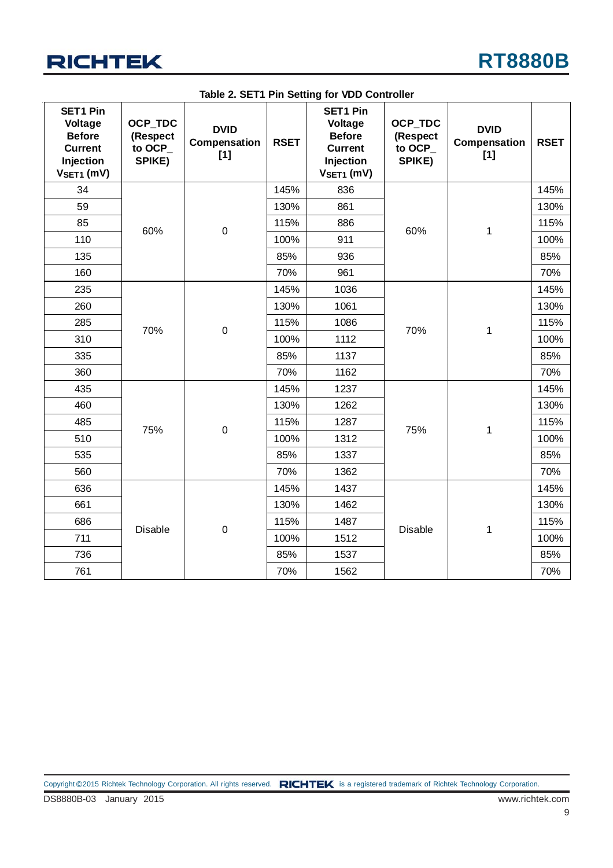

|                                                                                            | rable 2. $5E11$ Fin Setting for VDD Controller  |                                      |             |                                                                                            |                                          |                                    |             |     |
|--------------------------------------------------------------------------------------------|-------------------------------------------------|--------------------------------------|-------------|--------------------------------------------------------------------------------------------|------------------------------------------|------------------------------------|-------------|-----|
| <b>SET1 Pin</b><br>Voltage<br><b>Before</b><br><b>Current</b><br>Injection<br>$VSET1$ (mV) | <b>OCP TDC</b><br>(Respect<br>to OCP_<br>SPIKE) | <b>DVID</b><br>Compensation<br>$[1]$ | <b>RSET</b> | <b>SET1 Pin</b><br>Voltage<br><b>Before</b><br><b>Current</b><br>Injection<br>$VSET1$ (mV) | OCP_TDC<br>(Respect<br>to OCP_<br>SPIKE) | <b>DVID</b><br>Compensation<br>[1] | <b>RSET</b> |     |
| 34                                                                                         |                                                 |                                      | 145%        | 836                                                                                        |                                          |                                    | 145%        |     |
| 59                                                                                         |                                                 |                                      | 130%        | 861                                                                                        |                                          |                                    | 130%        |     |
| 85                                                                                         | 60%                                             | $\pmb{0}$                            | 115%        | 886                                                                                        | 60%                                      | 1                                  | 115%        |     |
| 110                                                                                        |                                                 |                                      | 100%        | 911                                                                                        |                                          |                                    | 100%        |     |
| 135                                                                                        |                                                 |                                      | 85%         | 936                                                                                        |                                          |                                    | 85%         |     |
| 160                                                                                        |                                                 |                                      | 70%         | 961                                                                                        |                                          |                                    | 70%         |     |
| 235                                                                                        |                                                 |                                      | 145%        | 1036                                                                                       |                                          |                                    | 145%        |     |
| 260                                                                                        |                                                 |                                      | 130%        | 1061                                                                                       | 70%                                      | 1                                  | 130%        |     |
| 285                                                                                        | 70%                                             | $\pmb{0}$                            | 115%        | 1086                                                                                       |                                          |                                    | 115%        |     |
| 310                                                                                        |                                                 |                                      | 100%        | 1112                                                                                       |                                          |                                    | 100%        |     |
| 335                                                                                        |                                                 |                                      | 85%         | 1137                                                                                       |                                          |                                    | 85%         |     |
| 360                                                                                        |                                                 |                                      | 70%         | 1162                                                                                       |                                          |                                    | 70%         |     |
| 435                                                                                        |                                                 |                                      | 145%        | 1237                                                                                       |                                          |                                    | 145%        |     |
| 460                                                                                        |                                                 |                                      | 130%        | 1262                                                                                       |                                          |                                    | 130%        |     |
| 485                                                                                        | 75%                                             | $\pmb{0}$                            | 115%        | 1287                                                                                       | 75%                                      |                                    | 115%        |     |
| 510                                                                                        |                                                 |                                      | 100%        | 1312                                                                                       |                                          | 1                                  | 100%        |     |
| 535                                                                                        |                                                 |                                      | 85%         | 1337                                                                                       |                                          |                                    | 85%         |     |
| 560                                                                                        |                                                 |                                      | 70%         | 1362                                                                                       |                                          |                                    | 70%         |     |
| 636                                                                                        |                                                 |                                      | 145%        | 1437                                                                                       |                                          |                                    | 145%        |     |
| 661                                                                                        |                                                 |                                      | 130%        | 1462                                                                                       |                                          |                                    | 130%        |     |
| 686                                                                                        | <b>Disable</b>                                  | $\pmb{0}$                            | 115%        | 1487                                                                                       | <b>Disable</b>                           | 1                                  | 115%        |     |
| 711                                                                                        |                                                 |                                      | 100%        | 1512                                                                                       |                                          |                                    | 100%        |     |
| 736                                                                                        |                                                 |                                      | 85%         | 1537                                                                                       |                                          |                                    | 85%         |     |
| 761                                                                                        |                                                 |                                      |             | 70%                                                                                        | 1562                                     |                                    |             | 70% |

**Table 2. SET1 Pin Setting for VDD Controller**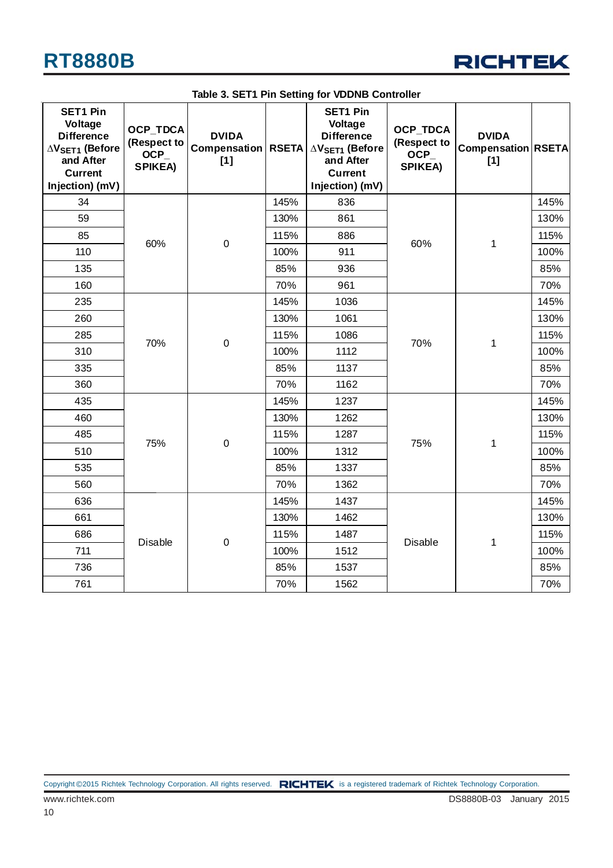

| <b>SET1 Pin</b><br>Voltage<br><b>Difference</b><br>$\Delta$ V <sub>SET1</sub> (Before<br>and After<br><b>Current</b><br>Injection) (mV) | <b>OCP TDCA</b><br>(Respect to<br><b>OCP</b><br><b>SPIKEA)</b> | <b>DVIDA</b><br>Compensation<br>[1] | <b>RSETA</b>             | <b>SET1 Pin</b><br>Voltage<br><b>Difference</b><br>$\Delta$ V <sub>SET1</sub> (Before<br>and After<br><b>Current</b><br>Injection) (mV) | <b>OCP_TDCA</b><br>(Respect to<br>$OCP_$<br><b>SPIKEA)</b> | <b>DVIDA</b><br><b>Compensation RSETA</b><br>$[1]$ |      |
|-----------------------------------------------------------------------------------------------------------------------------------------|----------------------------------------------------------------|-------------------------------------|--------------------------|-----------------------------------------------------------------------------------------------------------------------------------------|------------------------------------------------------------|----------------------------------------------------|------|
| 34                                                                                                                                      |                                                                |                                     | 145%                     | 836                                                                                                                                     |                                                            |                                                    | 145% |
| 59                                                                                                                                      |                                                                |                                     | 130%                     | 861                                                                                                                                     |                                                            |                                                    | 130% |
| 85                                                                                                                                      | 60%                                                            |                                     | 115%                     | 886                                                                                                                                     | 60%                                                        |                                                    | 115% |
| 110                                                                                                                                     |                                                                | $\mathbf 0$                         | 100%                     | 911                                                                                                                                     |                                                            | $\mathbf 1$                                        | 100% |
| 135                                                                                                                                     |                                                                |                                     | 85%                      | 936                                                                                                                                     |                                                            |                                                    | 85%  |
| 160                                                                                                                                     |                                                                |                                     | 70%                      | 961                                                                                                                                     |                                                            |                                                    | 70%  |
| 235                                                                                                                                     |                                                                |                                     | 145%                     | 1036                                                                                                                                    |                                                            |                                                    | 145% |
| 260                                                                                                                                     |                                                                |                                     | 130%                     | 1061                                                                                                                                    | 70%                                                        | $\mathbf 1$                                        | 130% |
| 285                                                                                                                                     | 70%                                                            |                                     | 115%<br>$\boldsymbol{0}$ | 1086                                                                                                                                    |                                                            |                                                    | 115% |
| 310                                                                                                                                     |                                                                |                                     | 100%                     | 1112                                                                                                                                    |                                                            |                                                    | 100% |
| 335                                                                                                                                     |                                                                |                                     | 85%                      | 1137                                                                                                                                    |                                                            |                                                    | 85%  |
| 360                                                                                                                                     |                                                                |                                     | 70%                      | 1162                                                                                                                                    |                                                            |                                                    | 70%  |
| 435                                                                                                                                     |                                                                |                                     | 145%                     | 1237                                                                                                                                    |                                                            |                                                    | 145% |
| 460                                                                                                                                     |                                                                |                                     | 130%                     | 1262                                                                                                                                    |                                                            |                                                    | 130% |
| 485                                                                                                                                     |                                                                |                                     | 115%                     | 1287                                                                                                                                    |                                                            |                                                    | 115% |
| 510                                                                                                                                     | 75%                                                            | $\boldsymbol{0}$                    | 100%                     | 1312                                                                                                                                    | 75%                                                        | 1                                                  | 100% |
| 535                                                                                                                                     |                                                                |                                     | 85%                      | 1337                                                                                                                                    |                                                            |                                                    | 85%  |
| 560                                                                                                                                     |                                                                |                                     | 70%                      | 1362                                                                                                                                    |                                                            |                                                    | 70%  |
| 636                                                                                                                                     |                                                                |                                     | 145%                     | 1437                                                                                                                                    |                                                            |                                                    | 145% |
| 661                                                                                                                                     |                                                                |                                     | 130%                     | 1462                                                                                                                                    |                                                            |                                                    | 130% |
| 686                                                                                                                                     | <b>Disable</b>                                                 | $\boldsymbol{0}$                    | 115%                     | 1487                                                                                                                                    | <b>Disable</b>                                             |                                                    | 115% |
| 711                                                                                                                                     |                                                                |                                     | 100%                     | 1512                                                                                                                                    |                                                            | 1                                                  | 100% |
| 736                                                                                                                                     |                                                                |                                     | 85%                      | 1537                                                                                                                                    |                                                            |                                                    | 85%  |
| 761                                                                                                                                     |                                                                |                                     | 70%                      | 1562                                                                                                                                    |                                                            |                                                    | 70%  |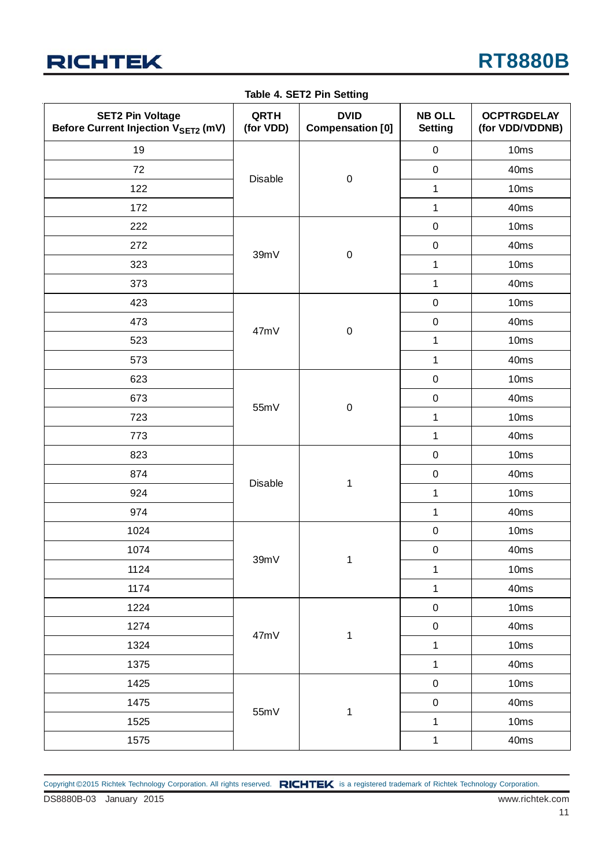

|  | Table 4. SET2 Pin Setting |  |
|--|---------------------------|--|
|--|---------------------------|--|

| <b>SET2 Pin Voltage</b><br>Before Current Injection VSET2 (mV) | QRTH<br>(for VDD) | <b>DVID</b><br><b>Compensation [0]</b> | <b>NB OLL</b><br><b>Setting</b> | <b>OCPTRGDELAY</b><br>(for VDD/VDDNB) |
|----------------------------------------------------------------|-------------------|----------------------------------------|---------------------------------|---------------------------------------|
| 19                                                             |                   |                                        | $\pmb{0}$                       | 10ms                                  |
| 72                                                             |                   |                                        | $\pmb{0}$                       | 40ms                                  |
| 122                                                            | <b>Disable</b>    | $\pmb{0}$                              | $\mathbf{1}$                    | 10ms                                  |
| 172                                                            |                   |                                        | $\mathbf{1}$                    | 40ms                                  |
| 222                                                            |                   |                                        | $\pmb{0}$                       | 10ms                                  |
| 272                                                            |                   |                                        | $\pmb{0}$                       | 40ms                                  |
| 323                                                            | 39mV              | $\mathbf 0$                            | $\mathbf{1}$                    | 10ms                                  |
| 373                                                            |                   |                                        | $\mathbf{1}$                    | 40ms                                  |
| 423                                                            |                   |                                        | $\pmb{0}$                       | 10ms                                  |
| 473                                                            | 47mV              |                                        | $\pmb{0}$                       | 40ms                                  |
| 523                                                            |                   | $\pmb{0}$                              | $\mathbf{1}$                    | 10ms                                  |
| 573                                                            |                   |                                        | $\mathbf{1}$                    | 40ms                                  |
| 623                                                            |                   |                                        | $\pmb{0}$                       | 10ms                                  |
| 673                                                            | 55mV              | $\pmb{0}$                              | $\pmb{0}$                       | 40ms                                  |
| 723                                                            |                   |                                        | $\mathbf 1$                     | 10ms                                  |
| 773                                                            |                   |                                        | $\mathbf 1$                     | 40ms                                  |
| 823                                                            |                   | $\mathbf{1}$                           | $\pmb{0}$                       | 10ms                                  |
| 874                                                            | Disable           |                                        | $\pmb{0}$                       | 40ms                                  |
| 924                                                            |                   |                                        | $\mathbf{1}$                    | 10ms                                  |
| 974                                                            |                   |                                        | $\mathbf{1}$                    | 40ms                                  |
| 1024                                                           |                   |                                        | $\pmb{0}$                       | 10ms                                  |
| 1074                                                           |                   |                                        | $\pmb{0}$                       | 40ms                                  |
| 1124                                                           | 39mV              | 1                                      | $\mathbf{1}$                    | 10ms                                  |
| 1174                                                           |                   |                                        | $\mathbf{1}$                    | 40ms                                  |
| 1224                                                           |                   |                                        | $\mathbf 0$                     | 10ms                                  |
| 1274                                                           | 47mV              |                                        | $\pmb{0}$                       | 40ms                                  |
| 1324                                                           |                   | $\mathbf{1}$                           | $\mathbf 1$                     | 10ms                                  |
| 1375                                                           |                   |                                        | $\mathbf{1}$                    | 40ms                                  |
| 1425                                                           |                   |                                        | $\pmb{0}$                       | 10ms                                  |
| 1475                                                           | 55mV              |                                        | $\pmb{0}$                       | 40ms                                  |
| 1525                                                           |                   | $\mathbf{1}$                           | $\mathbf{1}$                    | 10ms                                  |
| 1575                                                           |                   |                                        | $\mathbf{1}$                    | 40ms                                  |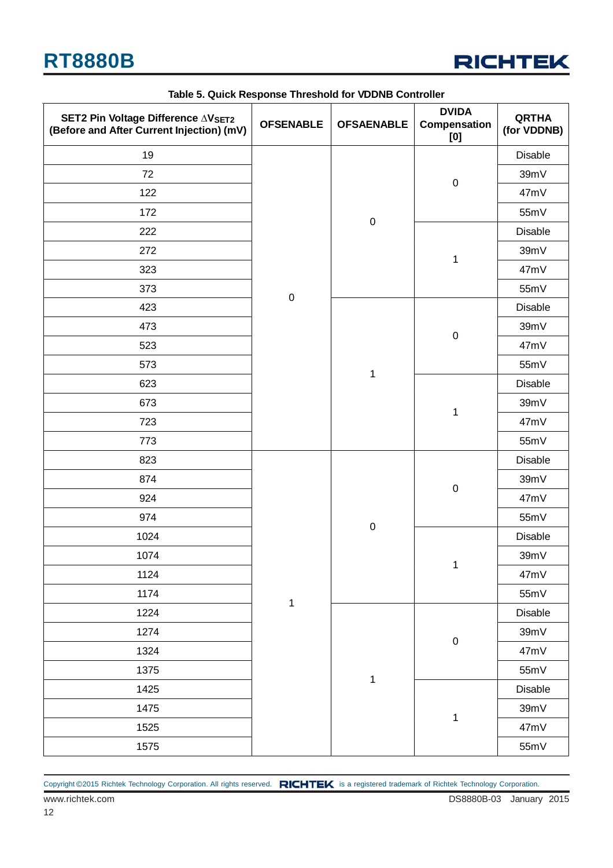

| SET2 Pin Voltage Difference AVSET2<br>(Before and After Current Injection) (mV) | <b>OFSENABLE</b> | <b>OFSAENABLE</b> | <b>DVIDA</b><br>Compensation<br>[0] | <b>QRTHA</b><br>(for VDDNB) |
|---------------------------------------------------------------------------------|------------------|-------------------|-------------------------------------|-----------------------------|
| 19                                                                              |                  |                   |                                     | <b>Disable</b>              |
| 72                                                                              |                  |                   |                                     | 39mV                        |
| 122                                                                             |                  |                   | $\pmb{0}$                           | 47mV                        |
| 172                                                                             |                  |                   |                                     | 55mV                        |
| 222                                                                             |                  | $\mathbf 0$       |                                     | <b>Disable</b>              |
| 272                                                                             |                  |                   | $\mathbf{1}$                        | 39mV                        |
| 323                                                                             |                  |                   |                                     | 47mV                        |
| 373                                                                             | $\pmb{0}$        |                   |                                     | 55mV                        |
| 423                                                                             |                  |                   |                                     | <b>Disable</b>              |
| 473                                                                             |                  |                   |                                     | 39mV                        |
| 523                                                                             |                  | $\mathbf 1$       | $\pmb{0}$                           | 47mV                        |
| 573                                                                             |                  |                   |                                     | 55mV                        |
| 623                                                                             |                  |                   | $\mathbf 1$                         | <b>Disable</b>              |
| 673                                                                             |                  |                   |                                     | 39mV                        |
| 723                                                                             |                  |                   |                                     | 47mV                        |
| 773                                                                             |                  |                   |                                     | 55mV                        |
| 823                                                                             |                  | $\mathbf 0$       | $\pmb{0}$                           | <b>Disable</b>              |
| 874                                                                             |                  |                   |                                     | 39mV                        |
| 924                                                                             |                  |                   |                                     | 47mV                        |
| 974                                                                             |                  |                   |                                     | 55mV                        |
| 1024                                                                            |                  |                   | 1                                   | Disable                     |
| 1074                                                                            |                  |                   |                                     | 39mV                        |
| 1124                                                                            |                  |                   |                                     | 47mV                        |
| 1174                                                                            | $\mathbf 1$      |                   |                                     | 55mV                        |
| 1224                                                                            |                  |                   |                                     | Disable                     |
| 1274                                                                            |                  |                   | $\pmb{0}$                           | 39mV                        |
| 1324                                                                            |                  |                   |                                     | 47mV                        |
| 1375                                                                            |                  | $\mathbf 1$       |                                     | 55mV                        |
| 1425                                                                            |                  |                   |                                     | Disable                     |
| 1475                                                                            |                  |                   | $\mathbf 1$                         | 39mV                        |
| 1525                                                                            |                  |                   |                                     | 47mV                        |
| 1575                                                                            |                  |                   |                                     | 55mV                        |

#### **Table 5. Quick Response Threshold for VDDNB Controller**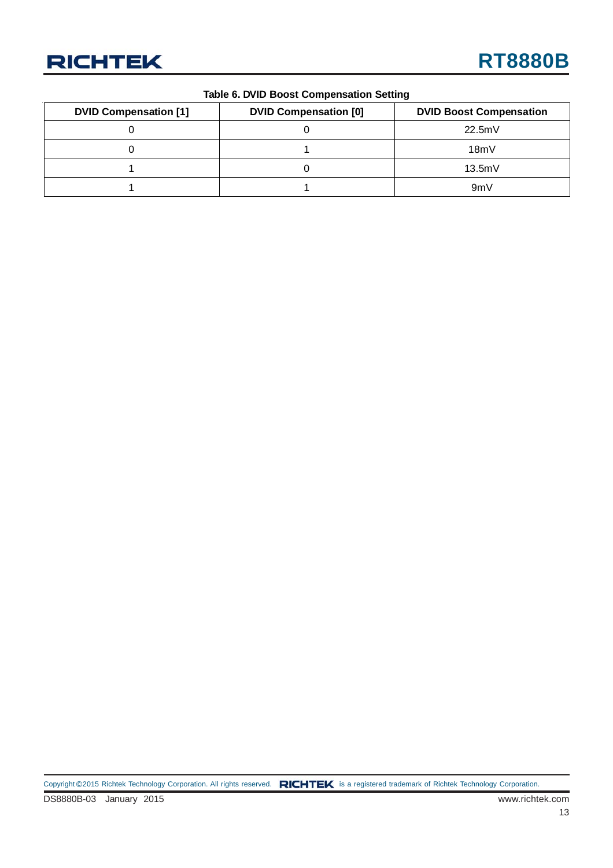

#### **Table 6. DVID Boost Compensation Setting**

| <b>DVID Compensation [1]</b> | <b>DVID Compensation [0]</b> | <b>DVID Boost Compensation</b> |
|------------------------------|------------------------------|--------------------------------|
|                              |                              | 22.5mV                         |
|                              |                              | 18mV                           |
|                              |                              | 13.5mV                         |
|                              |                              | 9mV                            |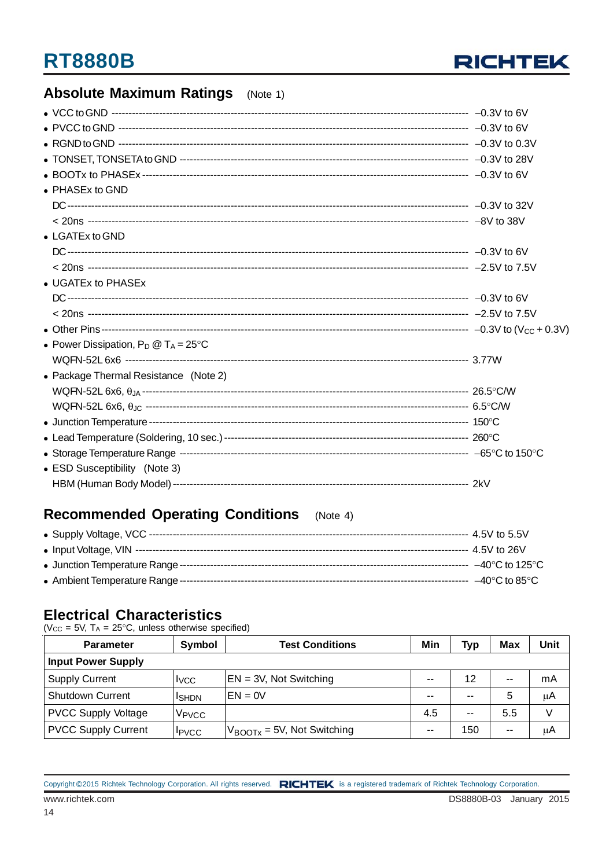

### **Absolute Maximum Ratings** (Note 1)

| • PHASEx to GND                                |  |
|------------------------------------------------|--|
|                                                |  |
|                                                |  |
| • LGATEx to GND                                |  |
|                                                |  |
|                                                |  |
| • UGATEx to PHASEx                             |  |
|                                                |  |
|                                                |  |
|                                                |  |
| • Power Dissipation, $P_D @ T_A = 25^{\circ}C$ |  |
|                                                |  |
| • Package Thermal Resistance (Note 2)          |  |
|                                                |  |
|                                                |  |
|                                                |  |
|                                                |  |
|                                                |  |
| • ESD Susceptibility (Note 3)                  |  |
|                                                |  |

### Recommended Operating Conditions (Note 4)

#### **Electrical Characteristics**

( $V_{CC}$  = 5V,  $T_A$  = 25°C, unless otherwise specified)

| <b>Parameter</b>           | Symbol                   | <b>Test Conditions</b>                  | Min   | Typ           | Max   | Unit   |
|----------------------------|--------------------------|-----------------------------------------|-------|---------------|-------|--------|
| <b>Input Power Supply</b>  |                          |                                         |       |               |       |        |
| <b>Supply Current</b>      | <b>I</b> <sub>V</sub> CC | $EN = 3V$ , Not Switching               | --    | 12            | $- -$ | mA     |
| <b>Shutdown Current</b>    | ISHDN                    | $EN = 0V$                               | --    | $\sim$        | 5     | μA     |
| <b>PVCC Supply Voltage</b> | V <sub>PVCC</sub>        |                                         | 4.5   | $\sim$ $\sim$ | 5.5   | $\vee$ |
| <b>PVCC Supply Current</b> | <b>I</b> PVCC            | $V_{\text{BOOTx}} = 5V$ , Not Switching | $- -$ | 150           | $- -$ | μA     |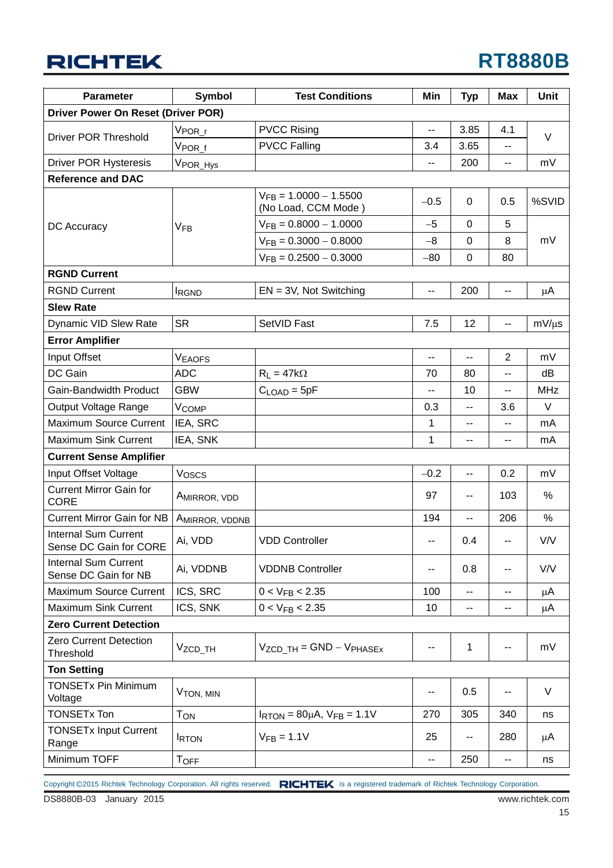## **RT8880B**

| <b>Parameter</b>                                      | <b>Symbol</b>           | <b>Test Conditions</b>                                 | Min    | <b>Typ</b>               | <b>Max</b>               | <b>Unit</b> |
|-------------------------------------------------------|-------------------------|--------------------------------------------------------|--------|--------------------------|--------------------------|-------------|
| Driver Power On Reset (Driver POR)                    |                         |                                                        |        |                          |                          |             |
|                                                       | $V_{\mathsf{POR\_r}}$   | <b>PVCC Rising</b>                                     | $-$    | 3.85                     | 4.1                      |             |
| <b>Driver POR Threshold</b>                           | $V_{\mathsf{POR\_f}}$   | <b>PVCC Falling</b>                                    | 3.4    | 3.65                     |                          | V           |
| <b>Driver POR Hysteresis</b>                          | VPOR_Hys                |                                                        | --     | 200                      | --                       | mV          |
| <b>Reference and DAC</b>                              |                         |                                                        |        |                          |                          |             |
|                                                       |                         | $V_{FB} = 1.0000 - 1.5500$<br>(No Load, CCM Mode)      | $-0.5$ | 0                        | 0.5                      | %SVID       |
| DC Accuracy                                           | V <sub>FB</sub>         | $V_{FB} = 0.8000 - 1.0000$                             | $-5$   | 0                        | 5                        |             |
|                                                       |                         | $V_{FB} = 0.3000 - 0.8000$                             | $-8$   | 0                        | 8                        | mV          |
|                                                       |                         | $V_{FB} = 0.2500 - 0.3000$                             | $-80$  | $\mathbf 0$              | 80                       |             |
| <b>RGND Current</b>                                   |                         |                                                        |        |                          |                          |             |
| <b>RGND Current</b>                                   | <b>IRGND</b>            | $EN = 3V$ , Not Switching                              | --     | 200                      | $\overline{\phantom{a}}$ | μA          |
| <b>Slew Rate</b>                                      |                         |                                                        |        |                          |                          |             |
| Dynamic VID Slew Rate                                 | <b>SR</b>               | SetVID Fast                                            | 7.5    | 12                       | $\overline{\phantom{a}}$ | $mV/\mu s$  |
| <b>Error Amplifier</b>                                |                         |                                                        |        |                          |                          |             |
| Input Offset                                          | Veaofs                  |                                                        | --     | --                       | 2                        | mV          |
| DC Gain                                               | <b>ADC</b>              | $R_L = 47k\Omega$                                      | 70     | 80                       | $-$                      | dB          |
| Gain-Bandwidth Product                                | <b>GBW</b>              | $CLOAD = 5pF$                                          | --     | 10                       | --                       | <b>MHz</b>  |
| Output Voltage Range                                  | <b>V<sub>COMP</sub></b> |                                                        | 0.3    | --                       | 3.6                      | $\vee$      |
| Maximum Source Current                                | IEA, SRC                |                                                        | 1      | --                       | --                       | mA          |
| <b>Maximum Sink Current</b>                           | IEA, SNK                |                                                        | 1      | $-$                      | --                       | mA          |
| <b>Current Sense Amplifier</b>                        |                         |                                                        |        |                          |                          |             |
| Input Offset Voltage                                  | Voscs                   |                                                        | $-0.2$ | $\mathbf{u}$             | 0.2                      | mV          |
| <b>Current Mirror Gain for</b><br><b>CORE</b>         | AMIRROR, VDD            |                                                        | 97     | $\overline{\phantom{a}}$ | 103                      | %           |
| <b>Current Mirror Gain for NB</b>                     | AMIRROR, VDDNB          |                                                        | 194    | --                       | 206                      | $\%$        |
| <b>Internal Sum Current</b><br>Sense DC Gain for CORE | Ai, VDD                 | <b>VDD Controller</b>                                  | --     | 0.4                      | $\overline{\phantom{a}}$ | V/V         |
| Internal Sum Current<br>Sense DC Gain for NB          | Ai, VDDNB               | <b>VDDNB Controller</b>                                |        | 0.8                      |                          | V/V         |
| Maximum Source Current                                | ICS, SRC                | $0 < V_{FB} < 2.35$                                    | 100    | --                       |                          | μA          |
| <b>Maximum Sink Current</b>                           | ICS, SNK                | $0 < V_{FB} < 2.35$                                    | 10     | --                       | --                       | μA          |
| <b>Zero Current Detection</b>                         |                         |                                                        |        |                          |                          |             |
| Zero Current Detection<br>Threshold                   | V <sub>ZCD_TH</sub>     | $V_{ZCD}$ TH = GND – $V_{PHASEX}$                      | ۰.     | 1                        |                          | mV          |
| <b>Ton Setting</b>                                    |                         |                                                        |        |                          |                          |             |
| <b>TONSETx Pin Minimum</b><br>Voltage                 | V <sub>TON</sub> , MIN  |                                                        | $-$    | 0.5                      |                          | V           |
| <b>TONSETx Ton</b>                                    | <b>TON</b>              | $I_{\text{RTON}} = 80 \mu A$ , $V_{\text{FB}} = 1.1 V$ | 270    | 305                      | 340                      | ns          |
| <b>TONSETx Input Current</b><br>Range                 | <b>IRTON</b>            | $V_{FB} = 1.1V$                                        | 25     | --                       | 280                      | μA          |
| Minimum TOFF                                          | <b>TOFF</b>             |                                                        | ۰.     | 250                      | --                       | ns          |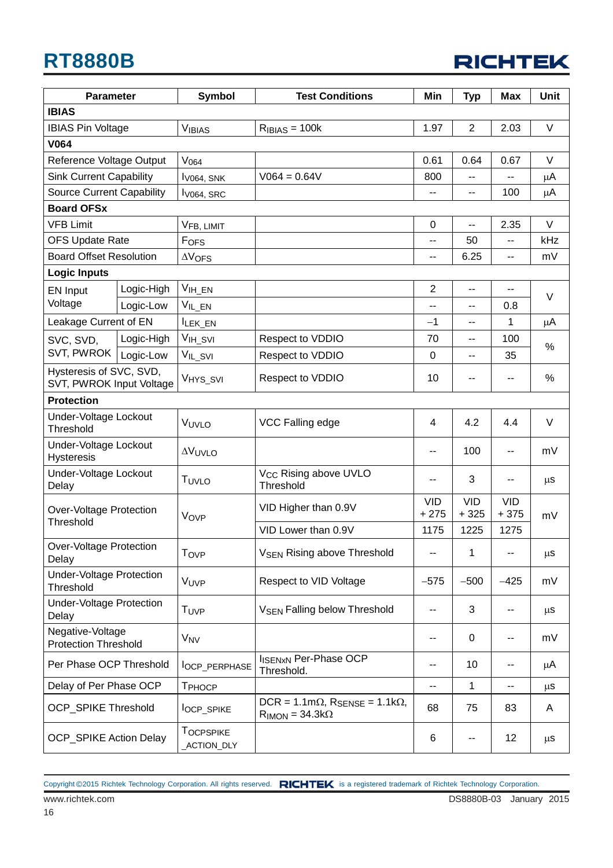| <b>RICHTEK</b> |  |
|----------------|--|
|----------------|--|

| <b>Parameter</b>                                    |            | <b>Symbol</b>                  | <b>Test Conditions</b>                                                   | Min                  | <b>Typ</b>           | <b>Max</b>           | <b>Unit</b> |
|-----------------------------------------------------|------------|--------------------------------|--------------------------------------------------------------------------|----------------------|----------------------|----------------------|-------------|
| <b>IBIAS</b>                                        |            |                                |                                                                          |                      |                      |                      |             |
| <b>IBIAS Pin Voltage</b>                            |            | <b>VIBIAS</b>                  | $R_{IBIAS} = 100k$                                                       | 1.97                 | $\overline{2}$       | 2.03                 | V           |
| <b>V064</b>                                         |            |                                |                                                                          |                      |                      |                      |             |
| Reference Voltage Output                            |            | V <sub>064</sub>               |                                                                          | 0.61                 | 0.64                 | 0.67                 | V           |
| <b>Sink Current Capability</b>                      |            | $IV064$ , SNK                  | $V064 = 0.64V$                                                           | 800                  |                      |                      | μA          |
| <b>Source Current Capability</b>                    |            | $IV064$ , SRC                  |                                                                          | --                   | --                   | 100                  | μA          |
| <b>Board OFSx</b>                                   |            |                                |                                                                          |                      |                      |                      |             |
| <b>VFB Limit</b>                                    |            | VFB, LIMIT                     |                                                                          | 0                    | $-$                  | 2.35                 | $\vee$      |
| <b>OFS Update Rate</b>                              |            | FOFS                           |                                                                          | --                   | 50                   | --                   | kHz         |
| <b>Board Offset Resolution</b>                      |            | $\Delta V$ OFS                 |                                                                          | --                   | 6.25                 | --                   | mV          |
| <b>Logic Inputs</b>                                 |            |                                |                                                                          |                      |                      |                      |             |
| EN Input                                            | Logic-High | $V_{IH\_EN}$                   |                                                                          | $\overline{2}$       | --                   | ۰.                   | $\vee$      |
| Voltage                                             | Logic-Low  | $V_{IL\_EN}$                   |                                                                          | $-$                  | --                   | 0.8                  |             |
| Leakage Current of EN                               |            | ILEK_EN                        |                                                                          | $-1$                 | --                   | 1                    | $\mu$ A     |
| SVC, SVD,                                           | Logic-High | V <sub>IH_SVI</sub>            | Respect to VDDIO                                                         | 70                   | --                   | 100                  | $\%$        |
| SVT, PWROK                                          | Logic-Low  | VIL_SVI                        | Respect to VDDIO                                                         | 0                    | $-$                  | 35                   |             |
| Hysteresis of SVC, SVD,<br>SVT, PWROK Input Voltage |            | V <sub>HYS_SVI</sub>           | Respect to VDDIO                                                         | 10                   | --                   | --                   | $\%$        |
| <b>Protection</b>                                   |            |                                |                                                                          |                      |                      |                      |             |
| Under-Voltage Lockout<br><b>Threshold</b>           |            | VUVLO                          | VCC Falling edge                                                         | 4                    | 4.2                  | 4.4                  | V           |
| Under-Voltage Lockout<br>Hysteresis                 |            | <b>AVUVLO</b>                  |                                                                          | --                   | 100                  | --                   | mV          |
| Under-Voltage Lockout<br>Delay                      |            | TUVLO                          | V <sub>CC</sub> Rising above UVLO<br>Threshold                           | ۰.                   | 3                    |                      | μS          |
| Over-Voltage Protection                             |            | VOVP                           | VID Higher than 0.9V                                                     | <b>VID</b><br>$+275$ | <b>VID</b><br>$+325$ | <b>VID</b><br>$+375$ | mV          |
| Threshold                                           |            |                                | VID Lower than 0.9V                                                      | 1175                 | 1225                 | 1275                 |             |
| Over-Voltage Protection<br>Delay                    |            | T <sub>OVP</sub>               | <b>V<sub>SEN</sub> Rising above Threshold</b>                            | ۰.                   | 1                    | --                   | $\mu$ S     |
| <b>Under-Voltage Protection</b><br>Threshold        |            | VUVP                           | Respect to VID Voltage                                                   | $-575$               | $-500$               | $-425$               | mV          |
| <b>Under-Voltage Protection</b><br>Delay            |            | T <sub>UVP</sub>               | <b>V<sub>SEN</sub> Falling below Threshold</b>                           | --                   | 3                    | --                   | μS          |
| Negative-Voltage<br><b>Protection Threshold</b>     |            | <b>V<sub>NV</sub></b>          |                                                                          | --                   | 0                    | ۰.                   | mV          |
| Per Phase OCP Threshold                             |            | lOCP_PERPHASE                  | <b>IISENXN Per-Phase OCP</b><br>Threshold.                               | --                   | 10                   | --                   | μA          |
| Delay of Per Phase OCP                              |            | T <sub>PHOCP</sub>             |                                                                          | --                   | 1                    | --                   | μS          |
| <b>OCP_SPIKE Threshold</b>                          |            | <b>locp_SPIKE</b>              | $DCR = 1.1m\Omega$ , $R_{SENSE} = 1.1k\Omega$ ,<br>$RIMON = 34.3k\Omega$ | 68                   | 75                   | 83                   | A           |
| <b>OCP_SPIKE Action Delay</b>                       |            | <b>TOCPSPIKE</b><br>ACTION_DLY |                                                                          | 6                    |                      | 12                   | μS          |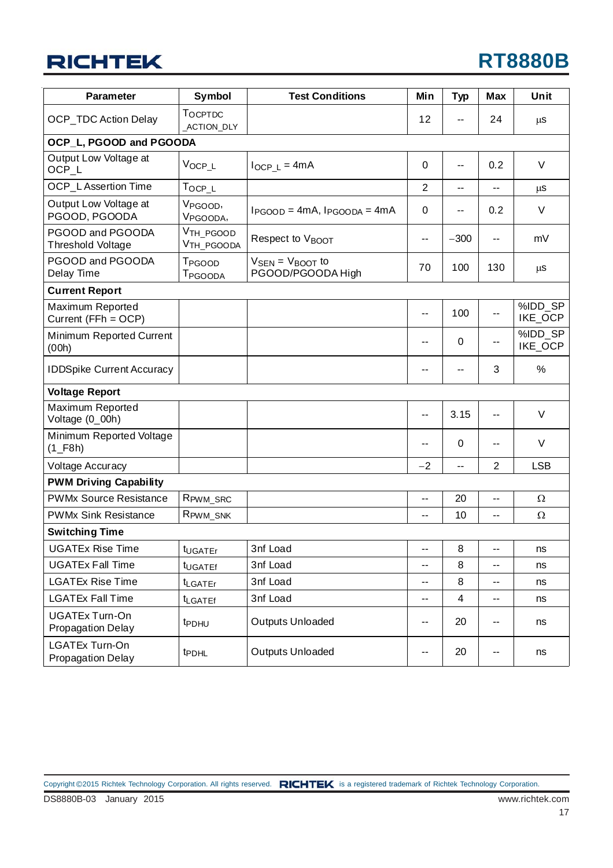| <b>Parameter</b>                                     | <b>Symbol</b>                                   | <b>Test Conditions</b>                       | Min                      | <b>Typ</b> | <b>Max</b>     | Unit               |
|------------------------------------------------------|-------------------------------------------------|----------------------------------------------|--------------------------|------------|----------------|--------------------|
| <b>OCP_TDC Action Delay</b>                          | TOCPTDC<br>ACTION_DLY                           |                                              | 12                       | --         | 24             | μS                 |
| OCP_L, PGOOD and PGOODA                              |                                                 |                                              |                          |            |                |                    |
| Output Low Voltage at<br>OCP_L                       | V <sub>OCP_L</sub>                              | $I_{OCP\_L} = 4mA$                           | 0                        | --         | 0.2            | V                  |
| <b>OCP</b> LAssertion Time                           | $T_{OCP\_L}$                                    |                                              | $\overline{2}$           | $-$        | $-$            | μS                 |
| Output Low Voltage at<br>PGOOD, PGOODA               | V <sub>PGOOD</sub> ,<br>V <sub>PGOODA</sub> ,   | $I_{PGOOD} = 4mA$ , $I_{PGOOD} = 4mA$        | 0                        | --         | 0.2            | V                  |
| PGOOD and PGOODA<br>Threshold Voltage                | V <sub>TH_PGOOD</sub><br>V <sub>TH_PGOODA</sub> | Respect to VBOOT                             | $\overline{\phantom{a}}$ | $-300$     | $-$            | mV                 |
| PGOOD and PGOODA<br>Delay Time                       | T <sub>PGOOD</sub><br>T <sub>PGOODA</sub>       | $V_{SEN} = V_{BOOT}$ to<br>PGOOD/PGOODA High | 70                       | 100        | 130            | μS                 |
| <b>Current Report</b>                                |                                                 |                                              |                          |            |                |                    |
| Maximum Reported<br>Current (FFh = OCP)              |                                                 |                                              | $-$                      | 100        | н.             | %IDD_SP<br>IKE_OCP |
| Minimum Reported Current<br>(00h)                    |                                                 |                                              | --                       | 0          | --             | %IDD SP<br>IKE_OCP |
| <b>IDDSpike Current Accuracy</b>                     |                                                 |                                              | --                       | --         | 3              | %                  |
| <b>Voltage Report</b>                                |                                                 |                                              |                          |            |                |                    |
| Maximum Reported<br>Voltage (0_00h)                  |                                                 |                                              | ۰.                       | 3.15       | --             | V                  |
| Minimum Reported Voltage<br>$(1$ <sub>-F8h</sub> $)$ |                                                 |                                              | --                       | 0          | --             | V                  |
| Voltage Accuracy                                     |                                                 |                                              | $-2$                     | --         | $\overline{2}$ | <b>LSB</b>         |
| <b>PWM Driving Capability</b>                        |                                                 |                                              |                          |            |                |                    |
| <b>PWMx Source Resistance</b>                        | R <sub>PWM_SRC</sub>                            |                                              | $\overline{\phantom{a}}$ | 20         | $-$            | $\Omega$           |
| <b>PWMx Sink Resistance</b>                          | RPWM_SNK                                        |                                              | --                       | 10         | --             | $\Omega$           |
| <b>Switching Time</b>                                |                                                 |                                              |                          |            |                |                    |
| UGATEx Rise Time                                     | t <sub>UGATEr</sub>                             | 3nf Load                                     | --                       | 8          | --             | ns                 |
| <b>UGATEx Fall Time</b>                              | t <sub>UGATEf</sub>                             | 3nf Load                                     | --                       | 8          | --             | ns                 |
| <b>LGATEx Rise Time</b>                              | t <sub>LGATEr</sub>                             | 3nf Load                                     | ۰.                       | 8          | --             | ns                 |
| <b>LGATEx Fall Time</b>                              | <b>ILGATEf</b>                                  | 3nf Load                                     | --                       | 4          | --             | ns                 |
| <b>UGATEx Turn-On</b><br>Propagation Delay           | t <sub>PDHU</sub>                               | <b>Outputs Unloaded</b>                      | --                       | 20         | --             | ns                 |
| <b>LGATEx Turn-On</b><br><b>Propagation Delay</b>    | <b>tPDHL</b>                                    | Outputs Unloaded                             | --                       | 20         | --             | ns                 |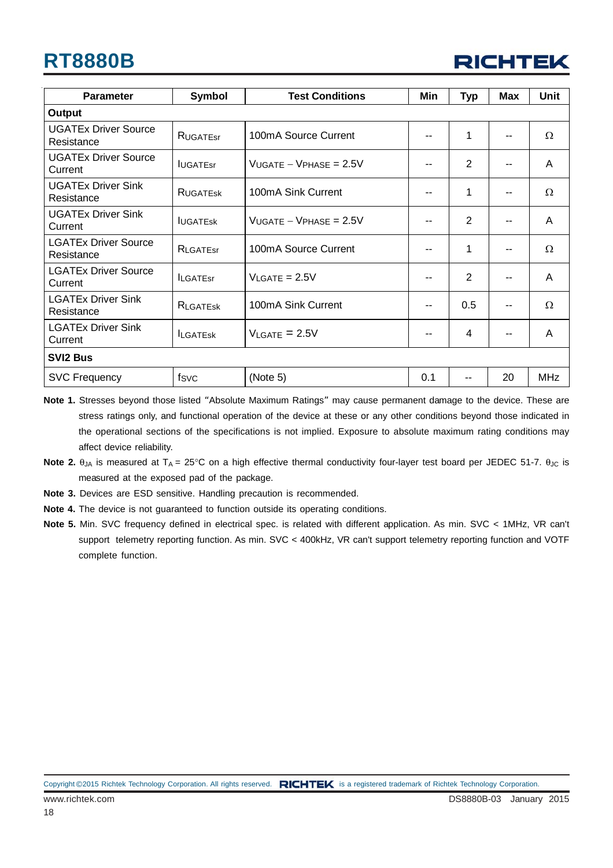| <b>RICHTEK</b> |  |
|----------------|--|
|----------------|--|

| <b>Parameter</b>                          | Symbol          | <b>Test Conditions</b>         | Min | <b>Typ</b> | Max | <b>Unit</b> |
|-------------------------------------------|-----------------|--------------------------------|-----|------------|-----|-------------|
| Output                                    |                 |                                |     |            |     |             |
| <b>UGATEx Driver Source</b><br>Resistance | RUGATEST        | 100mA Source Current           | ۰.  | 1          |     | Ω           |
| <b>UGATEx Driver Source</b><br>Current    | <b>IUGATEST</b> | $V_{UGATE} - V_{PHASE} = 2.5V$ | --  | 2          |     | A           |
| <b>UGATEx Driver Sink</b><br>Resistance   | <b>RUGATESK</b> | 100mA Sink Current             | --  | 1          |     | Ω           |
| <b>UGATEx Driver Sink</b><br>Current      | <b>IUGATESK</b> | $V_{UGATE} - V_{PHASE} = 2.5V$ | --  | 2          |     | A           |
| <b>LGATEx Driver Source</b><br>Resistance | RLGATEST        | 100mA Source Current           | ۰.  | 1          |     | Ω           |
| <b>LGATEx Driver Source</b><br>Current    | <b>ILGATEST</b> | $V_{LAGATE} = 2.5V$            | --  | 2          |     | A           |
| <b>LGATEx Driver Sink</b><br>Resistance   | <b>RLGATESK</b> | 100mA Sink Current             | --  | 0.5        |     | Ω           |
| <b>LGATEx Driver Sink</b><br>Current      | <b>ILGATESK</b> | $V_{\text{LGATE}} = 2.5V$      | --  | 4          |     | A           |
| <b>SVI2 Bus</b>                           |                 |                                |     |            |     |             |
| <b>SVC Frequency</b>                      | fsvc            | (Note 5)                       | 0.1 | --         | 20  | <b>MHz</b>  |

**Note 1.** Stresses beyond those listed "Absolute Maximum Ratings" may cause permanent damage to the device. These are stress ratings only, and functional operation of the device at these or any other conditions beyond those indicated in the operational sections of the specifications is not implied. Exposure to absolute maximum rating conditions may affect device reliability.

- **Note 3.** Devices are ESD sensitive. Handling precaution is recommended.
- **Note 4.** The device is not guaranteed to function outside its operating conditions.
- Note 5. Min. SVC frequency defined in electrical spec. is related with different application. As min. SVC < 1MHz, VR can't support telemetry reporting function. As min. SVC < 400kHz, VR can't support telemetry reporting function and VOTF complete function.

**Note 2.** θ<sub>JA</sub> is measured at T<sub>A</sub> = 25°C on a high effective thermal conductivity four-layer test board per JEDEC 51-7. θ<sub>JC</sub> is measured at the exposed pad of the package.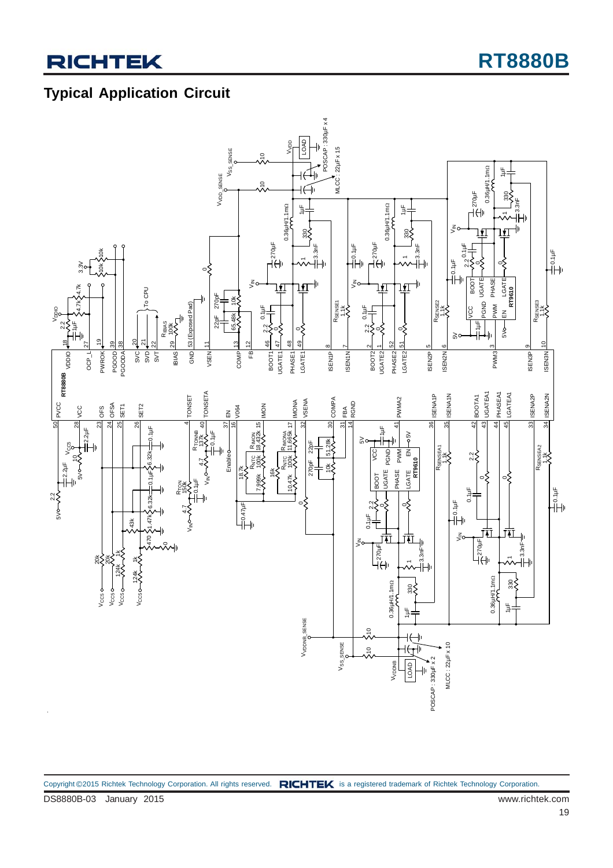### **Typical Application Circuit**

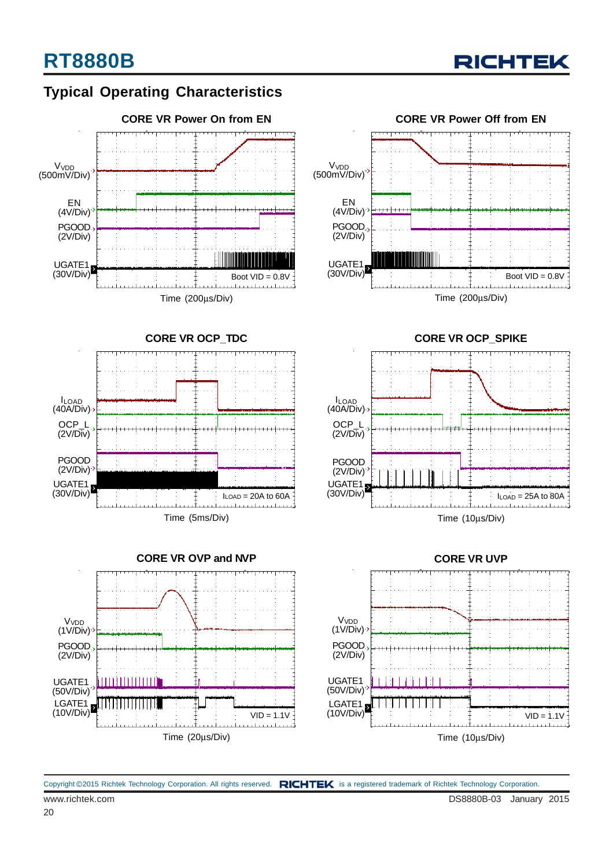### **Typical Operating Characteristics**









**CORE VR OCP\_SPIKE**



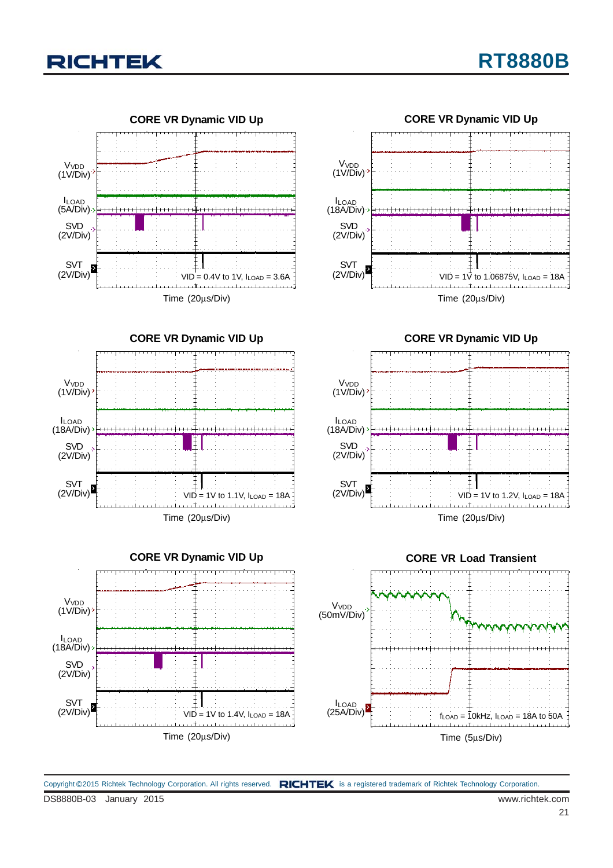









**CORE VR Dynamic VID Up** V<sub>VDD</sub> (1V/Div) ILOAD (18A/Div) SVD (2V/Div) SVT (2V/Div)  $VI\overset{\perp}{D} = 1V$  to 1.2V,  $I_{LOAD} = 18A$ <u>. . . The color color color color colo</u> Time (20μs/Div)



DS8880B-03 January 2015 www.richtek.com Copyright ©2015 Richtek Technology Corporation. All rights reserved. RICHTEK is a registered trademark of Richtek Technology Corporation.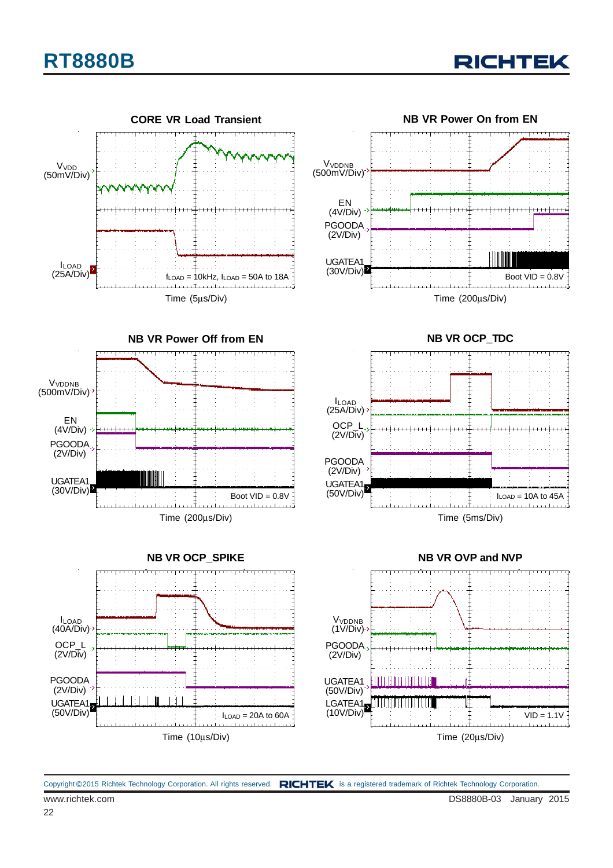





Time (10μs/Div)



**NB VR OCP\_TDC**





Copyright ©2015 Richtek Technology Corporation. All rights reserved. RICHTEK is a registered trademark of Richtek Technology Corporation.

Boot  $VID = 0.8V$ 

**The collection** 

PGOODA (2V/Div)

UGATEA1  $(30V/Div)$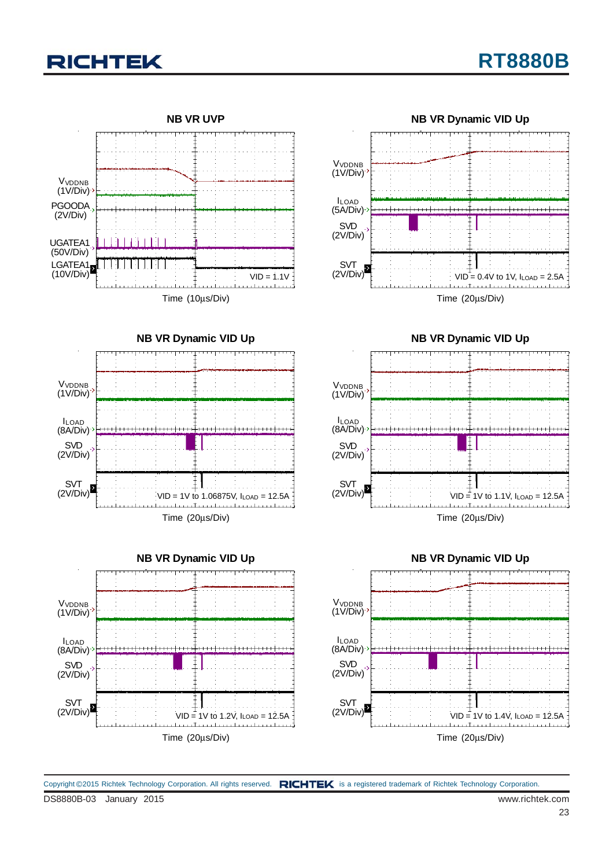







**NB VR Dynamic VID Up**





DS8880B-03 January 2015 www.richtek.com Copyright ©2015 Richtek Technology Corporation. All rights reserved. RICHTEK is a registered trademark of Richtek Technology Corporation.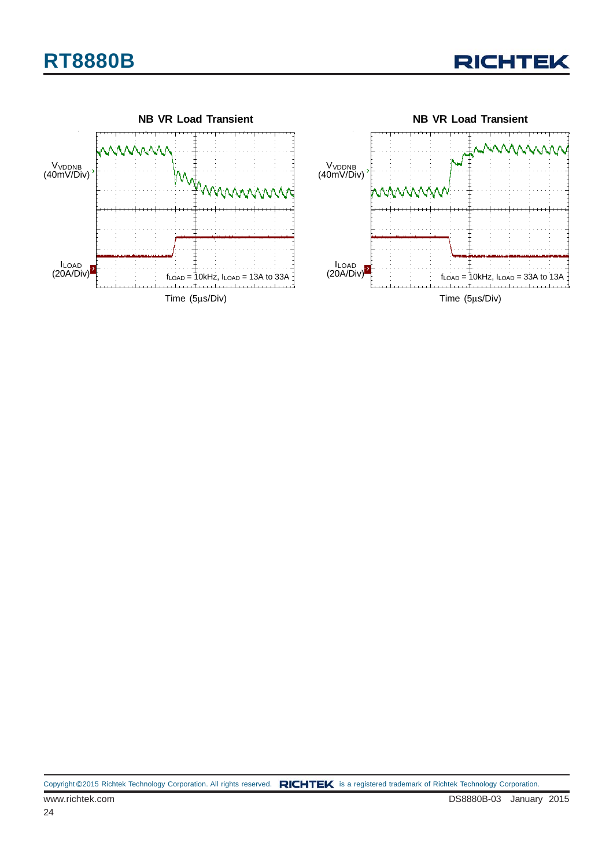

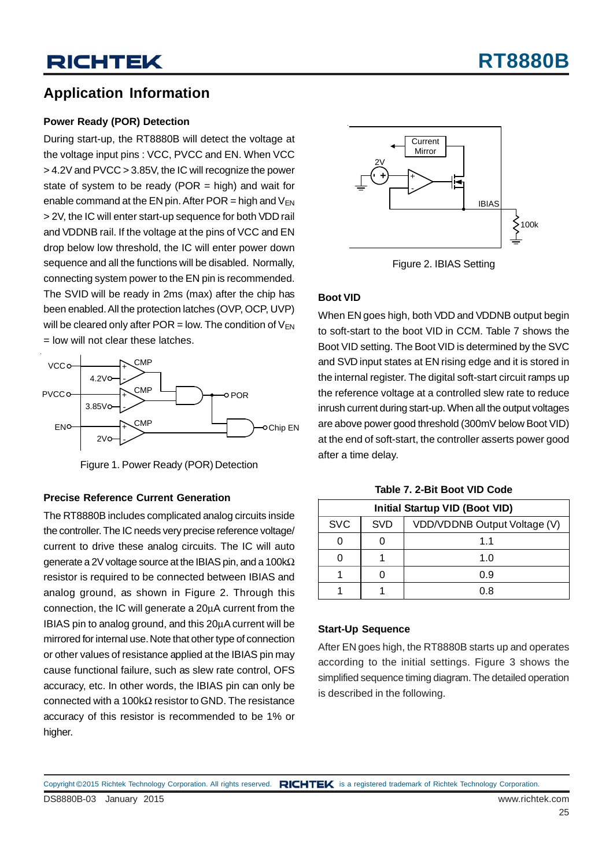### **Application Information**

#### **Power Ready (POR) Detection**

During start-up, the RT8880B will detect the voltage at the voltage input pins : VCC, PVCC and EN. When VCC > 4.2V and PVCC > 3.85V, the IC will recognize the power state of system to be ready (POR  $=$  high) and wait for enable command at the EN pin. After POR = high and  $V_{FN}$ > 2V, the IC will enter start-up sequence for both VDD rail and VDDNB rail. If the voltage at the pins of VCC and EN drop below low threshold, the IC will enter power down sequence and all the functions will be disabled. Normally, connecting system power to the EN pin is recommended. The SVID will be ready in 2ms (max) after the chip has been enabled. All the protection latches (OVP, OCP, UVP) will be cleared only after POR = low. The condition of  $V_{FN}$ = low will not clear these latches.



Figure 1. Power Ready (POR) Detection

#### **Precise Reference Current Generation**

The RT8880B includes complicated analog circuits inside the controller. The IC needs very precise reference voltage/ current to drive these analog circuits. The IC will auto generate a 2V voltage source at the IBIAS pin, and a 100kΩ resistor is required to be connected between IBIAS and analog ground, as shown in Figure 2. Through this connection, the IC will generate a 20μA current from the IBIAS pin to analog ground, and this 20μA current will be mirrored for internal use. Note that other type of connection or other values of resistance applied at the IBIAS pin may cause functional failure, such as slew rate control, OFS accuracy, etc. In other words, the IBIAS pin can only be connected with a 100kΩ resistor to GND. The resistance accuracy of this resistor is recommended to be 1% or higher.



Figure 2. IBIAS Setting

#### **Boot VID**

When EN goes high, both VDD and VDDNB output begin to soft-start to the boot VID in CCM. Table 7 shows the Boot VID setting. The Boot VID is determined by the SVC and SVD input states at EN rising edge and it is stored in the internal register. The digital soft-start circuit ramps up the reference voltage at a controlled slew rate to reduce inrush current during start-up. When all the output voltages are above power good threshold (300mV below Boot VID) at the end of soft-start, the controller asserts power good after a time delay.

| <b>Initial Startup VID (Boot VID)</b> |            |                              |  |  |  |  |
|---------------------------------------|------------|------------------------------|--|--|--|--|
| <b>SVC</b>                            | <b>SVD</b> | VDD/VDDNB Output Voltage (V) |  |  |  |  |
|                                       |            | 11                           |  |  |  |  |
|                                       |            | 1.0                          |  |  |  |  |
|                                       |            | 0.9                          |  |  |  |  |
|                                       |            | በ ጸ                          |  |  |  |  |

**Table 7. 2-Bit Boot VID Code**

#### **Start-Up Sequence**

After EN goes high, the RT8880B starts up and operates according to the initial settings. Figure 3 shows the simplified sequence timing diagram. The detailed operation is described in the following.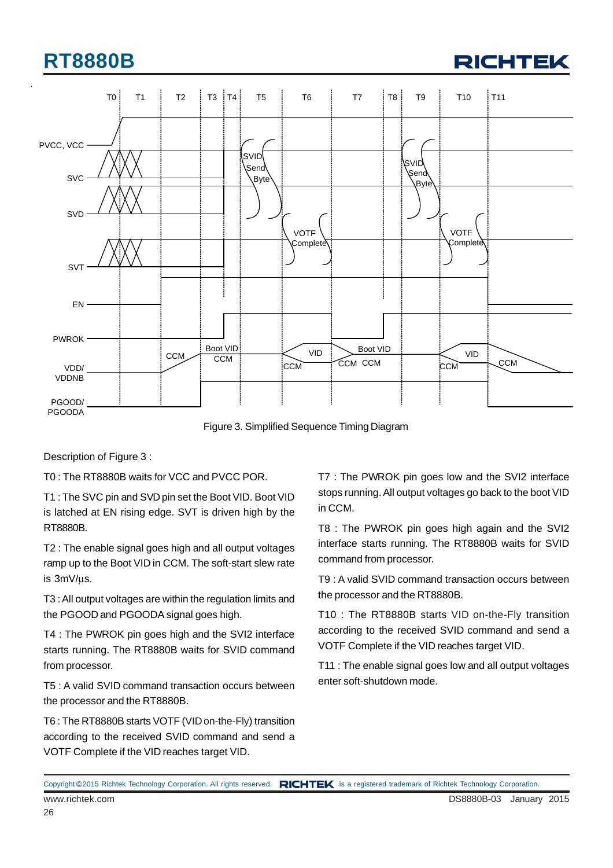



Figure 3. Simplified Sequence Timing Diagram

Description of Figure 3 :

T0 : The RT8880B waits for VCC and PVCC POR.

T1 : The SVC pin and SVD pin set the Boot VID. Boot VID is latched at EN rising edge. SVT is driven high by the RT8880B.

T2 : The enable signal goes high and all output voltages ramp up to the Boot VID in CCM. The soft-start slew rate is 3mV/μs.

T3 : All output voltages are within the regulation limits and the PGOOD and PGOODA signal goes high.

T4 : The PWROK pin goes high and the SVI2 interface starts running. The RT8880B waits for SVID command from processor.

T5 : A valid SVID command transaction occurs between the processor and the RT8880B.

T6 : The RT8880B starts VOTF (VID on-the-Fly) transition according to the received SVID command and send a VOTF Complete if the VID reaches target VID.

T7 : The PWROK pin goes low and the SVI2 interface stops running. All output voltages go back to the boot VID in CCM.

T8 : The PWROK pin goes high again and the SVI2 interface starts running. The RT8880B waits for SVID command from processor.

T9 : A valid SVID command transaction occurs between the processor and the RT8880B.

T10 : The RT8880B starts VID on-the-Fly transition according to the received SVID command and send a VOTF Complete if the VID reaches target VID.

T11 : The enable signal goes low and all output voltages enter soft-shutdown mode.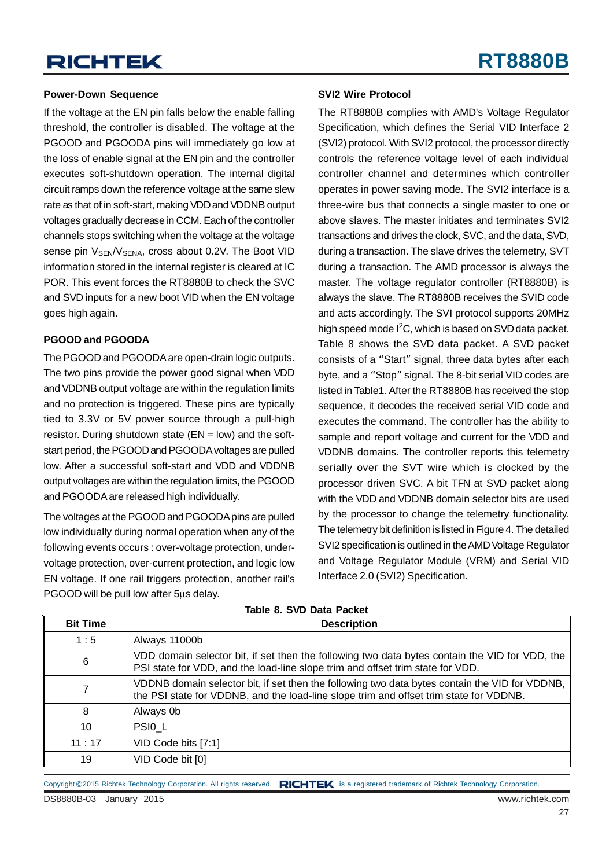#### **Power-Down Sequence**

If the voltage at the EN pin falls below the enable falling threshold, the controller is disabled. The voltage at the PGOOD and PGOODA pins will immediately go low at the loss of enable signal at the EN pin and the controller executes soft-shutdown operation. The internal digital circuit ramps down the reference voltage at the same slew rate as that of in soft-start, making VDD and VDDNB output voltages gradually decrease in CCM. Each of the controller channels stops switching when the voltage at the voltage sense pin  $V_{\text{SFN}}/V_{\text{SFNA}}$ , cross about 0.2V. The Boot VID information stored in the internal register is cleared at IC POR. This event forces the RT8880B to check the SVC and SVD inputs for a new boot VID when the EN voltage goes high again.

#### **PGOOD and PGOODA**

The PGOOD and PGOODA are open-drain logic outputs. The two pins provide the power good signal when VDD and VDDNB output voltage are within the regulation limits and no protection is triggered. These pins are typically tied to 3.3V or 5V power source through a pull-high resistor. During shutdown state  $(EN = low)$  and the softstart period, the PGOOD and PGOODA voltages are pulled low. After a successful soft-start and VDD and VDDNB output voltages are within the regulation limits, the PGOOD and PGOODA are released high individually.

The voltages at the PGOOD and PGOODA pins are pulled low individually during normal operation when any of the following events occurs : over-voltage protection, undervoltage protection, over-current protection, and logic low EN voltage. If one rail triggers protection, another rail's PGOOD will be pull low after 5μs delay.

#### **SVI2 Wire Protocol**

The RT8880B complies with AMD's Voltage Regulator Specification, which defines the Serial VID Interface 2 (SVI2) protocol. With SVI2 protocol, the processor directly controls the reference voltage level of each individual controller channel and determines which controller operates in power saving mode. The SVI2 interface is a three-wire bus that connects a single master to one or above slaves. The master initiates and terminates SVI2 transactions and drives the clock, SVC, and the data, SVD, during a transaction. The slave drives the telemetry, SVT during a transaction. The AMD processor is always the master. The voltage regulator controller (RT8880B) is always the slave. The RT8880B receives the SVID code and acts accordingly. The SVI protocol supports 20MHz high speed mode I<sup>2</sup>C, which is based on SVD data packet. Table 8 shows the SVD data packet. A SVD packet consists of a "Start" signal, three data bytes after each byte, and a "Stop" signal. The 8-bit serial VID codes are listed in Table1. After the RT8880B has received the stop sequence, it decodes the received serial VID code and executes the command. The controller has the ability to sample and report voltage and current for the VDD and VDDNB domains. The controller reports this telemetry serially over the SVT wire which is clocked by the processor driven SVC. A bit TFN at SVD packet along with the VDD and VDDNB domain selector bits are used by the processor to change the telemetry functionality. The telemetry bit definition is listed in Figure 4. The detailed SVI2 specification is outlined in the AMD Voltage Regulator and Voltage Regulator Module (VRM) and Serial VID Interface 2.0 (SVI2) Specification.

| <b>Bit Time</b> | <b>Description</b>                                                                                                                                                                       |
|-----------------|------------------------------------------------------------------------------------------------------------------------------------------------------------------------------------------|
| 1:5             | Always 11000b                                                                                                                                                                            |
| 6               | VDD domain selector bit, if set then the following two data bytes contain the VID for VDD, the<br>PSI state for VDD, and the load-line slope trim and offset trim state for VDD.         |
|                 | VDDNB domain selector bit, if set then the following two data bytes contain the VID for VDDNB,<br>the PSI state for VDDNB, and the load-line slope trim and offset trim state for VDDNB. |
| 8               | Always 0b                                                                                                                                                                                |
| 10              | PSIO_L                                                                                                                                                                                   |
| 11:17           | VID Code bits [7:1]                                                                                                                                                                      |
| 19              | VID Code bit [0]                                                                                                                                                                         |

**Table 8. SVD Data Packet**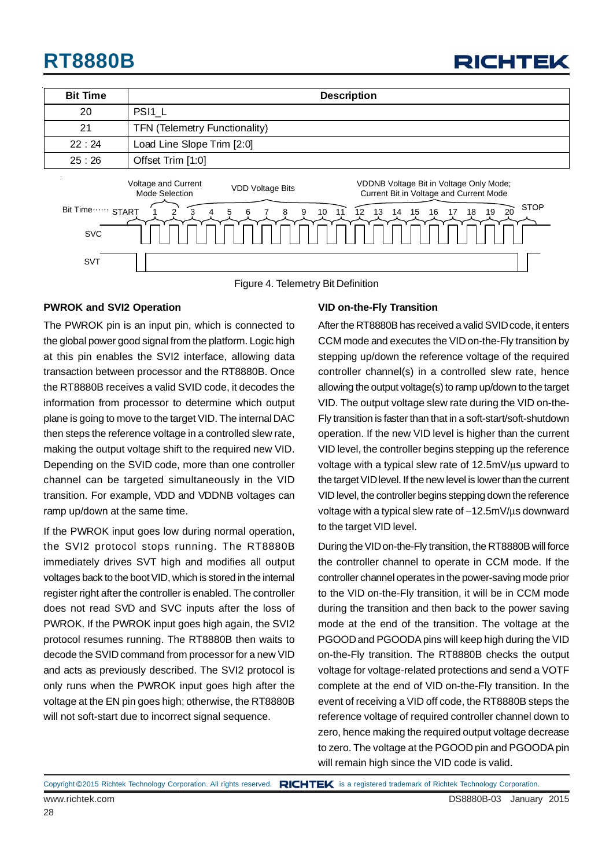| <b>RICHTEK</b> |
|----------------|
|----------------|

| <b>Bit Time</b> | <b>Description</b>                                                                                                                                     |
|-----------------|--------------------------------------------------------------------------------------------------------------------------------------------------------|
| 20              | PSI <sub>1</sub> L                                                                                                                                     |
| 21              | <b>TFN (Telemetry Functionality)</b>                                                                                                                   |
| 22:24           | Load Line Slope Trim [2:0]                                                                                                                             |
| 25:26           | Offset Trim [1:0]                                                                                                                                      |
|                 | Voltage and Current<br>VDDNB Voltage Bit in Voltage Only Mode;<br><b>VDD Voltage Bits</b><br>Current Bit in Voltage and Current Mode<br>Mode Selection |
| Bit Time        | <b>STOP</b><br><b>START</b><br>12<br>20<br>10<br>11<br>13<br>15<br>19<br>5<br>9<br>14<br>16<br>17<br>18<br>8<br>6                                      |
| <b>SVC</b>      |                                                                                                                                                        |
| <b>SVT</b>      |                                                                                                                                                        |

Figure 4. Telemetry Bit Definition

#### **PWROK and SVI2 Operation**

The PWROK pin is an input pin, which is connected to the global power good signal from the platform. Logic high at this pin enables the SVI2 interface, allowing data transaction between processor and the RT8880B. Once the RT8880B receives a valid SVID code, it decodes the information from processor to determine which output plane is going to move to the target VID. The internal DAC then steps the reference voltage in a controlled slew rate, making the output voltage shift to the required new VID. Depending on the SVID code, more than one controller channel can be targeted simultaneously in the VID transition. For example, VDD and VDDNB voltages can ramp up/down at the same time.

If the PWROK input goes low during normal operation, the SVI2 protocol stops running. The RT8880B immediately drives SVT high and modifies all output voltages back to the boot VID, which is stored in the internal register right after the controller is enabled. The controller does not read SVD and SVC inputs after the loss of PWROK. If the PWROK input goes high again, the SVI2 protocol resumes running. The RT8880B then waits to decode the SVID command from processor for a new VID and acts as previously described. The SVI2 protocol is only runs when the PWROK input goes high after the voltage at the EN pin goes high; otherwise, the RT8880B will not soft-start due to incorrect signal sequence.

#### **VID on-the-Fly Transition**

After the RT8880B has received a valid SVID code, it enters CCM mode and executes the VID on-the-Fly transition by stepping up/down the reference voltage of the required controller channel(s) in a controlled slew rate, hence allowing the output voltage(s) to ramp up/down to the target VID. The output voltage slew rate during the VID on-the-Fly transition is faster than that in a soft-start/soft-shutdown operation. If the new VID level is higher than the current VID level, the controller begins stepping up the reference voltage with a typical slew rate of 12.5mV/μs upward to the target VID level. If the new level is lower than the current VID level, the controller begins stepping down the reference voltage with a typical slew rate of −12.5mV/μs downward to the target VID level.

During the VID on-the-Fly transition, the RT8880B will force the controller channel to operate in CCM mode. If the controller channel operates in the power-saving mode prior to the VID on-the-Fly transition, it will be in CCM mode during the transition and then back to the power saving mode at the end of the transition. The voltage at the PGOOD and PGOODA pins will keep high during the VID on-the-Fly transition. The RT8880B checks the output voltage for voltage-related protections and send a VOTF complete at the end of VID on-the-Fly transition. In the event of receiving a VID off code, the RT8880B steps the reference voltage of required controller channel down to zero, hence making the required output voltage decrease to zero. The voltage at the PGOOD pin and PGOODA pin will remain high since the VID code is valid.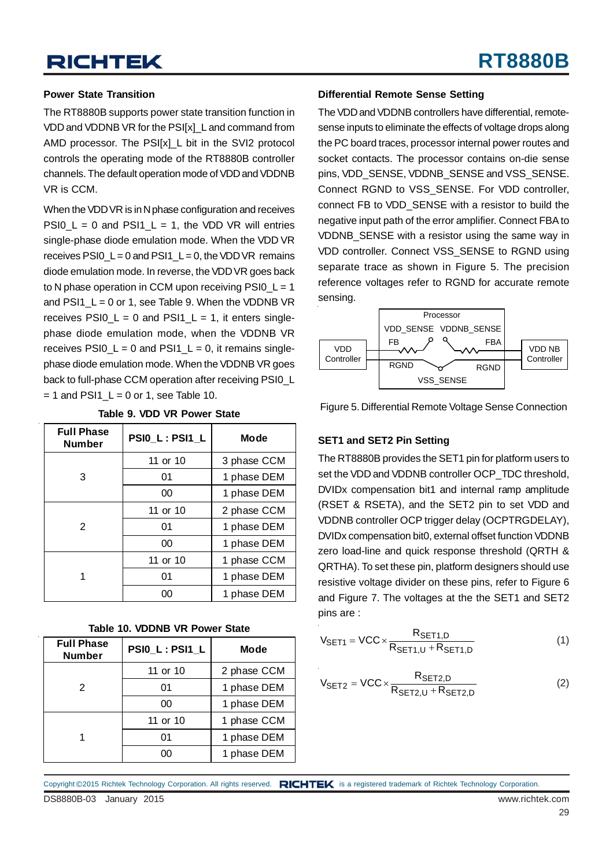#### **Power State Transition**

The RT8880B supports power state transition function in VDD and VDDNB VR for the PSI[x]\_L and command from AMD processor. The PSI[x] L bit in the SVI2 protocol controls the operating mode of the RT8880B controller channels. The default operation mode of VDD and VDDNB VR is CCM.

When the VDD VR is in N phase configuration and receives PSI0  $L = 0$  and PSI1  $L = 1$ , the VDD VR will entries single-phase diode emulation mode. When the VDD VR receives PSI0  $L = 0$  and PSI1  $L = 0$ , the VDD VR remains diode emulation mode. In reverse, the VDD VR goes back to N phase operation in CCM upon receiving PSI0\_L = 1 and PSI1  $L = 0$  or 1, see Table 9. When the VDDNB VR receives PSI0  $L = 0$  and PSI1  $L = 1$ , it enters singlephase diode emulation mode, when the VDDNB VR receives PSI0  $L = 0$  and PSI1  $L = 0$ , it remains singlephase diode emulation mode. When the VDDNB VR goes back to full-phase CCM operation after receiving PSI0 L  $= 1$  and PSI1\_L = 0 or 1, see Table 10.

| <b>Full Phase</b><br><b>Number</b> | PSIO_L: PSI1_L | <b>Mode</b> |  |
|------------------------------------|----------------|-------------|--|
|                                    | 11 or 10       | 3 phase CCM |  |
| 3                                  | 01             | 1 phase DEM |  |
|                                    | 00             | 1 phase DEM |  |
|                                    | 11 or 10       | 2 phase CCM |  |
| 2                                  | 01             | 1 phase DEM |  |
|                                    | 00             | 1 phase DEM |  |
|                                    | 11 or 10       | 1 phase CCM |  |
| 1                                  | 01             | 1 phase DEM |  |
|                                    | 00             | 1 phase DEM |  |

**Table 9. VDD VR Power State**

| Table 10. VDDNB VR Power State |  |  |  |  |
|--------------------------------|--|--|--|--|
|--------------------------------|--|--|--|--|

| <b>Full Phase</b><br><b>Number</b> | PSIO_L: PSI1_L | Mode        |  |
|------------------------------------|----------------|-------------|--|
| 2                                  | 11 or 10       | 2 phase CCM |  |
|                                    | 01             | 1 phase DEM |  |
|                                    | 00             | 1 phase DEM |  |
|                                    | 11 or 10       | 1 phase CCM |  |
|                                    | 01             | 1 phase DEM |  |
|                                    | იი             | 1 phase DEM |  |

#### **Differential Remote Sense Setting**

The VDD and VDDNB controllers have differential, remotesense inputs to eliminate the effects of voltage drops along the PC board traces, processor internal power routes and socket contacts. The processor contains on-die sense pins, VDD\_SENSE, VDDNB\_SENSE and VSS\_SENSE. Connect RGND to VSS\_SENSE. For VDD controller, connect FB to VDD\_SENSE with a resistor to build the negative input path of the error amplifier. Connect FBA to VDDNB SENSE with a resistor using the same way in VDD controller. Connect VSS\_SENSE to RGND using separate trace as shown in Figure 5. The precision reference voltages refer to RGND for accurate remote sensing.



Figure 5. Differential Remote Voltage Sense Connection

#### **SET1 and SET2 Pin Setting**

The RT8880B provides the SET1 pin for platform users to set the VDD and VDDNB controller OCP\_TDC threshold, DVIDx compensation bit1 and internal ramp amplitude (RSET & RSETA), and the SET2 pin to set VDD and VDDNB controller OCP trigger delay (OCPTRGDELAY), DVIDx compensation bit0, external offset function VDDNB zero load-line and quick response threshold (QRTH & QRTHA). To set these pin, platform designers should use resistive voltage divider on these pins, refer to Figure 6 and Figure 7. The voltages at the the SET1 and SET2 pins are :

$$
V_{\text{SET1}} = \text{VCC} \times \frac{R_{\text{SET1,D}}}{R_{\text{SET1,U}} + R_{\text{SET1,D}}}
$$
(1)

$$
V_{\text{SET2}} = \text{VCC} \times \frac{R_{\text{SET2,D}}}{R_{\text{SET2,U}} + R_{\text{SET2,D}}}
$$
(2)

Copyright ©2015 Richtek Technology Corporation. All rights reserved. RICHTEK is a registered trademark of Richtek Technology Corporation.

DS8880B-03 January 2015 www.richtek.com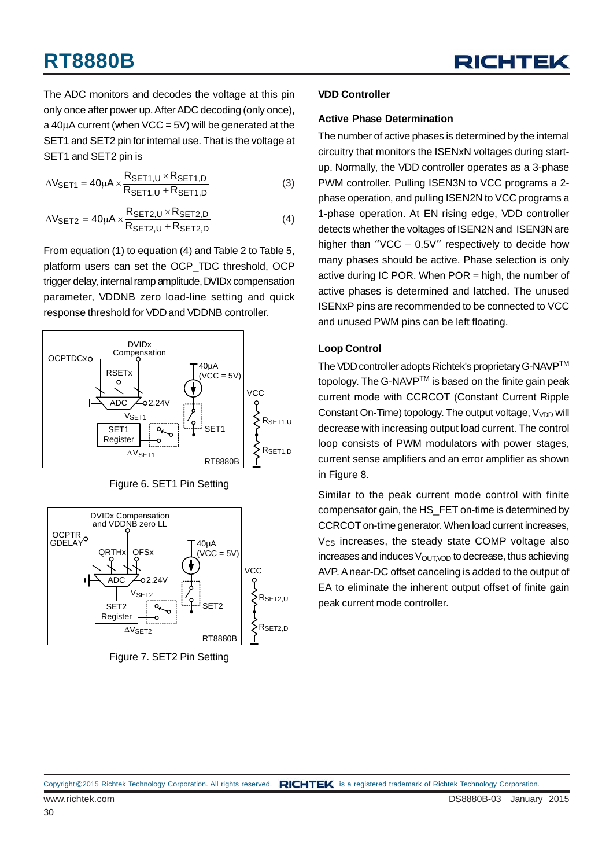The ADC monitors and decodes the voltage at this pin only once after power up. After ADC decoding (only once), a  $40\mu$ A current (when VCC = 5V) will be generated at the SET1 and SET2 pin for internal use. That is the voltage at SET1 and SET2 pin is

$$
\Delta V_{\text{SET1}} = 40\mu A \times \frac{R_{\text{SET1,U}} \times R_{\text{SET1,D}}}{R_{\text{SET1,U}} + R_{\text{SET1,D}}}
$$
(3)

$$
\Delta V_{\text{SET2}} = 40 \mu A \times \frac{R_{\text{SET2,U}} \times R_{\text{SET2,D}}}{R_{\text{SET2,U}} + R_{\text{SET2,D}}}
$$
(4)

From equation (1) to equation (4) and Table 2 to Table 5, platform users can set the OCP\_TDC threshold, OCP trigger delay, internal ramp amplitude, DVIDx compensation parameter, VDDNB zero load-line setting and quick response threshold for VDD and VDDNB controller.







Figure 7. SET2 Pin Setting

#### **VDD Controller**

#### **Active Phase Determination**

The number of active phases is determined by the internal circuitry that monitors the ISENxN voltages during startup. Normally, the VDD controller operates as a 3-phase PWM controller. Pulling ISEN3N to VCC programs a 2 phase operation, and pulling ISEN2N to VCC programs a 1-phase operation. At EN rising edge, VDD controller detects whether the voltages of ISEN2N and ISEN3N are higher than "VCC  $-$  0.5V" respectively to decide how many phases should be active. Phase selection is only active during IC POR. When POR = high, the number of active phases is determined and latched. The unused ISENxP pins are recommended to be connected to VCC and unused PWM pins can be left floating.

#### **Loop Control**

The VDD controller adopts Richtek's proprietary G-NAVP™ topology. The G-NAVP $^{TM}$  is based on the finite gain peak current mode with CCRCOT (Constant Current Ripple Constant On-Time) topology. The output voltage,  $V_{VDD}$  will decrease with increasing output load current. The control loop consists of PWM modulators with power stages, current sense amplifiers and an error amplifier as shown in Figure 8.

Similar to the peak current mode control with finite compensator gain, the HS\_FET on-time is determined by CCRCOT on-time generator. When load current increases,  $V_{CS}$  increases, the steady state COMP voltage also  $increases$  and induces  $V<sub>OUT, VDD</sub>$  to decrease, thus achieving AVP. A near-DC offset canceling is added to the output of EA to eliminate the inherent output offset of finite gain peak current mode controller.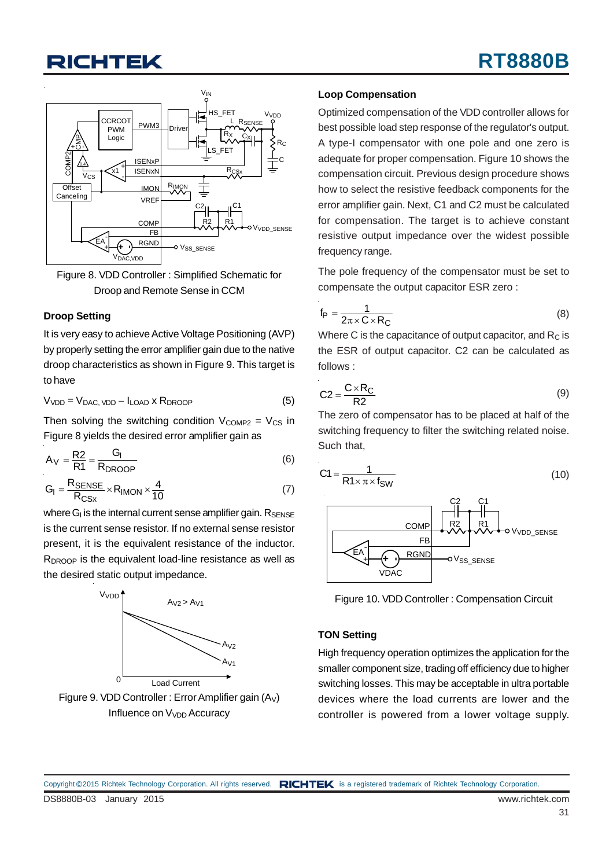



#### **Droop Setting**

It is very easy to achieve Active Voltage Positioning (AVP) by properly setting the error amplifier gain due to the native droop characteristics as shown in Figure 9. This target is to have

 $V<sub>VDD</sub> = V<sub>DAC</sub>$ ,  $V<sub>DD</sub> - I<sub>LOAD</sub>$  x  $R<sub>DROOP</sub>$  (5)

Then solving the switching condition  $V_{COMP2} = V_{CS}$  in Figure 8 yields the desired error amplifier gain as

$$
A_V = \frac{R2}{R1} = \frac{G_I}{R_{DROOP}}
$$
 (6)

$$
G_{I} = \frac{R_{\text{SENSE}}}{R_{\text{CSx}}} \times R_{\text{IMON}} \times \frac{4}{10}
$$
 (7)

where  $G<sub>l</sub>$  is the internal current sense amplifier gain.  $R_{\text{SENSE}}$ is the current sense resistor. If no external sense resistor present, it is the equivalent resistance of the inductor.  $R_{DROOP}$  is the equivalent load-line resistance as well as the desired static output impedance.



Influence on V<sub>VDD</sub> Accuracy

#### **Loop Compensation**

Optimized compensation of the VDD controller allows for best possible load step response of the regulator's output. A type-I compensator with one pole and one zero is adequate for proper compensation. Figure 10 shows the compensation circuit. Previous design procedure shows how to select the resistive feedback components for the error amplifier gain. Next, C1 and C2 must be calculated for compensation. The target is to achieve constant resistive output impedance over the widest possible frequency range.

The pole frequency of the compensator must be set to compensate the output capacitor ESR zero :

$$
f_{\mathsf{P}} = \frac{1}{2\pi \times \mathsf{C} \times \mathsf{R}_{\mathsf{C}}}
$$
 (8)

Where C is the capacitance of output capacitor, and  $R<sub>C</sub>$  is the ESR of output capacitor. C2 can be calculated as follows :

$$
C2 = \frac{C \times R_C}{R2}
$$
 (9)

The zero of compensator has to be placed at half of the switching frequency to filter the switching related noise. Such that,

$$
C1 = \frac{1}{R1 \times \pi \times f_{SW}}
$$
 (10)



Figure 10. VDD Controller : Compensation Circuit

#### **TON Setting**

High frequency operation optimizes the application for the smaller component size, trading off efficiency due to higher switching losses. This may be acceptable in ultra portable devices where the load currents are lower and the controller is powered from a lower voltage supply.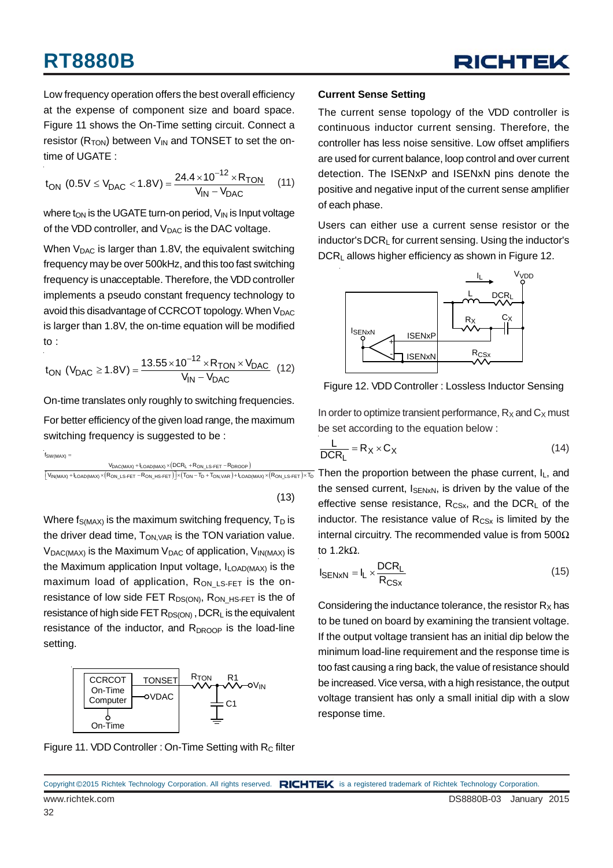

Low frequency operation offers the best overall efficiency at the expense of component size and board space. Figure 11 shows the On-Time setting circuit. Connect a resistor ( $R_{TON}$ ) between  $V_{IN}$  and TONSET to set the ontime of UGATE :

$$
t_{ON} (0.5 V \le V_{DAC} < 1.8 V) = \frac{24.4 \times 10^{-12} \times R_{TON}}{V_{IN} - V_{DAC}} \quad (11)
$$

where  $t_{ON}$  is the UGATE turn-on period,  $V_{IN}$  is Input voltage of the VDD controller, and  $V_{\text{DAC}}$  is the DAC voltage.

When  $V_{DAC}$  is larger than 1.8V, the equivalent switching frequency may be over 500kHz, and this too fast switching frequency is unacceptable. Therefore, the VDD controller implements a pseudo constant frequency technology to avoid this disadvantage of CCRCOT topology. When V<sub>DAC</sub> is larger than 1.8V, the on-time equation will be modified to :

$$
t_{ON} (V_{DAC} \ge 1.8V) = \frac{13.55 \times 10^{-12} \times R_{TON} \times V_{DAC}}{V_{IN} - V_{DAC}} (12)
$$

On-time translates only roughly to switching frequencies.

For better efficiency of the given load range, the maximum switching frequency is suggested to be :

$$
f_{SW(MAX)} = \underline{\hspace{2cm}} \underline{\hspace{2cm}} \underline{\hspace{2cm}} \underline{\hspace{2cm}} \underline{\hspace{2cm}} \underline{\hspace{2cm}} \underline{\hspace{2cm}} \underline{\hspace{2cm}} \underline{\hspace{2cm}} \underline{\hspace{2cm}} \underline{\hspace{2cm}} \underline{\hspace{2cm}} \underline{\hspace{2cm}} \underline{\hspace{2cm}} \underline{\hspace{2cm}} \underline{\hspace{2cm}} \underline{\hspace{2cm}} \underline{\hspace{2cm}} \underline{\hspace{2cm}} \underline{\hspace{2cm}} \underline{\hspace{2cm}} \underline{\hspace{2cm}} \underline{\hspace{2cm}} \underline{\hspace{2cm}} \underline{\hspace{2cm}} \underline{\hspace{2cm}} \underline{\hspace{2cm}} \underline{\hspace{2cm}} \underline{\hspace{2cm}} \underline{\hspace{2cm}} \underline{\hspace{2cm}} \underline{\hspace{2cm}} \underline{\hspace{2cm}} \underline{\hspace{2cm}} \underline{\hspace{2cm}} \underline{\hspace{2cm}} \underline{\hspace{2cm}} \underline{\hspace{2cm}} \underline{\hspace{2cm}} \underline{\hspace{2cm}} \underline{\hspace{2cm}} \underline{\hspace{2cm}} \underline{\hspace{2cm}} \underline{\hspace{2cm}} \underline{\hspace{2cm}} \underline{\hspace{2cm}} \underline{\hspace{2cm}} \underline{\hspace{2cm}} \underline{\hspace{2cm}} \underline{\hspace{2cm}} \underline{\hspace{2cm}} \underline{\hspace{2cm}} \underline{\hspace{2cm}} \underline{\hspace{2cm}} \underline{\hspace{2cm}} \underline{\hspace{2cm}} \underline{\hspace{2cm}} \underline{\hspace{2cm}} \underline{\hspace{2cm}} \underline{\hspace{2cm}} \underline{\hspace{2cm}} \underline{\hspace{2cm}} \underline{\hspace{2cm}} \underline{\hspace{2cm}} \underline{\hspace{2cm}} \underline{\hspace{2cm}} \underline{\hspace{2cm}} \underline{\hspace{2cm}} \underline{\hspace{2cm}} \underline{\hspace{2cm}} \underline{\hspace{2cm}} \underline{\hspace{2cm}} \underline{\hspace{2cm}} \underline{\hspace{2cm}} \underline{\hspace{2cm}} \underline{\hspace{2cm}} \underline{\hspace{2cm}} \underline{\hspace{2cm}} \underline{\hspace{2cm}} \underline{\hspace{2cm}} \underline{\hspace{2cm}} \underline{\hspace{2cm}} \underline{\hspace{2cm}} \underline{\hspace
$$

 $\left[ \mathsf{V}_{\mathsf{IN}(\mathsf{MAX})} + \mathsf{l}_{\mathsf{LOAD}(\mathsf{MAX})} \times (\mathsf{R}_{\mathsf{ON\_LS}\text{-}\mathsf{FET}} - \mathsf{R}_{\mathsf{ON\_HS}\text{-}\mathsf{FET}}) \right] \times (\mathsf{T}_{\mathsf{ON}} - \mathsf{T}_{\mathsf{D}} + \mathsf{T}_{\mathsf{ON},\mathsf{VAR}}) + \mathsf{l}_{\mathsf{LOAD}(\mathsf{MAX})} \times (\mathsf{R}_{\mathsf{ON\_LS}\text{-}\mathsf{FET}}) \times \mathsf{T}_{\mathsf{D}}$ 

(13)

Where  $f_{\text{S(MAX)}}$  is the maximum switching frequency,  $T_D$  is the driver dead time,  $T_{ON,VAR}$  is the TON variation value.  $V_{DAC(MAX)}$  is the Maximum  $V_{DAC}$  of application,  $V_{IN(MAX)}$  is the Maximum application Input voltage,  $I_{LOAD(MAX)}$  is the maximum load of application,  $R_{ON LS-FET}$  is the onresistance of low side FET R<sub>DS(ON)</sub>, R<sub>ON\_HS-FET</sub> is the of resistance of high side FET  $R_{DS(ON)}$ , DCR<sub>L</sub> is the equivalent resistance of the inductor, and  $R_{DROOP}$  is the load-line setting.



#### **Current Sense Setting**

The current sense topology of the VDD controller is continuous inductor current sensing. Therefore, the controller has less noise sensitive. Low offset amplifiers are used for current balance, loop control and over current detection. The ISENxP and ISENxN pins denote the positive and negative input of the current sense amplifier of each phase.

Users can either use a current sense resistor or the inductor's DCRL for current sensing. Using the inductor's DCR<sub>L</sub> allows higher efficiency as shown in Figure 12.



Figure 12. VDD Controller : Lossless Inductor Sensing

In order to optimize transient performance,  $R_X$  and  $C_X$  must be set according to the equation below :

$$
\frac{L}{DCR_L} = R_X \times C_X \tag{14}
$$

Then the proportion between the phase current,  $I_L$ , and the sensed current,  $I_{\text{SENxN}}$ , is driven by the value of the effective sense resistance,  $R_{CSx}$ , and the DCR<sub>L</sub> of the inductor. The resistance value of  $R_{CSx}$  is limited by the internal circuitry. The recommended value is from 500Ω to 1.2kΩ.

$$
I_{\text{SENxN}} = I_{L} \times \frac{\text{DCR}_{L}}{\text{R}_{\text{CSx}}} \tag{15}
$$

Considering the inductance tolerance, the resistor  $R_X$  has to be tuned on board by examining the transient voltage. If the output voltage transient has an initial dip below the minimum load-line requirement and the response time is too fast causing a ring back, the value of resistance should be increased. Vice versa, with a high resistance, the output voltage transient has only a small initial dip with a slow response time.

Figure 11. VDD Controller : On-Time Setting with R<sub>C</sub> filter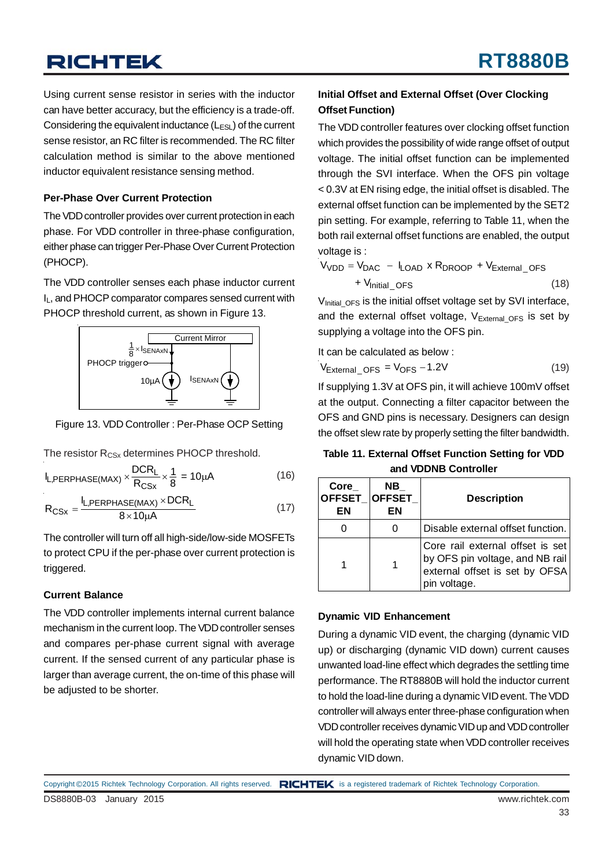Using current sense resistor in series with the inductor can have better accuracy, but the efficiency is a trade-off. Considering the equivalent inductance  $(L_{ESL})$  of the current sense resistor, an RC filter is recommended. The RC filter calculation method is similar to the above mentioned inductor equivalent resistance sensing method.

#### **Per-Phase Over Current Protection**

The VDD controller provides over current protection in each phase. For VDD controller in three-phase configuration, either phase can trigger Per-Phase Over Current Protection (PHOCP).

The VDD controller senses each phase inductor current IL, and PHOCP comparator compares sensed current with PHOCP threshold current, as shown in Figure 13.



Figure 13. VDD Controller : Per-Phase OCP Setting

The resistor R<sub>CSx</sub> determines PHOCP threshold.

$$
I_{L,PERPHASE(MAX)} \times \frac{DCR_L}{R_{CSx}} \times \frac{1}{8} = 10\mu A
$$
 (16)

$$
R_{CSx} = \frac{I_{L,PERPHASE(MAX)} \times DCR_L}{8 \times 10 \mu A}
$$
 (17)

The controller will turn off all high-side/low-side MOSFETs to protect CPU if the per-phase over current protection is triggered.

#### **Current Balance**

The VDD controller implements internal current balance mechanism in the current loop. The VDD controller senses and compares per-phase current signal with average current. If the sensed current of any particular phase is larger than average current, the on-time of this phase will be adjusted to be shorter.

#### **Initial Offset and External Offset (Over Clocking Offset Function)**

The VDD controller features over clocking offset function which provides the possibility of wide range offset of output voltage. The initial offset function can be implemented through the SVI interface. When the OFS pin voltage < 0.3V at EN rising edge, the initial offset is disabled. The external offset function can be implemented by the SET2 pin setting. For example, referring to Table 11, when the both rail external offset functions are enabled, the output voltage is :

 (18)  $V_{VDD} = V_{DAC} - I_{LOAD} \times R_{DROOP} + V_{External_OFS}$ + V<sub>Initial</sub>\_oFS

 $V<sub>Initial OFS</sub>$  is the initial offset voltage set by SVI interface, and the external offset voltage,  $V_{\text{External_OFS}}$  is set by supplying a voltage into the OFS pin.

It can be calculated as below :

$$
V_{\text{External\_OFS}} = V_{\text{OFS}} - 1.2V \tag{19}
$$

If supplying 1.3V at OFS pin, it will achieve 100mV offset at the output. Connecting a filter capacitor between the OFS and GND pins is necessary. Designers can design the offset slew rate by properly setting the filter bandwidth.

| Table 11. External Offset Function Setting for VDD |  |
|----------------------------------------------------|--|
| and VDDNB Controller                               |  |

| Core<br>ΕN | NB.<br>OFFSET OFFSET<br>ΕN | <b>Description</b>                                                                                                    |
|------------|----------------------------|-----------------------------------------------------------------------------------------------------------------------|
|            |                            | Disable external offset function.                                                                                     |
|            |                            | Core rail external offset is set<br>by OFS pin voltage, and NB rail<br>external offset is set by OFSA<br>pin voltage. |

#### **Dynamic VID Enhancement**

During a dynamic VID event, the charging (dynamic VID up) or discharging (dynamic VID down) current causes unwanted load-line effect which degrades the settling time performance. The RT8880B will hold the inductor current to hold the load-line during a dynamic VID event. The VDD controller will always enter three-phase configuration when VDD controller receives dynamic VID up and VDD controller will hold the operating state when VDD controller receives dynamic VID down.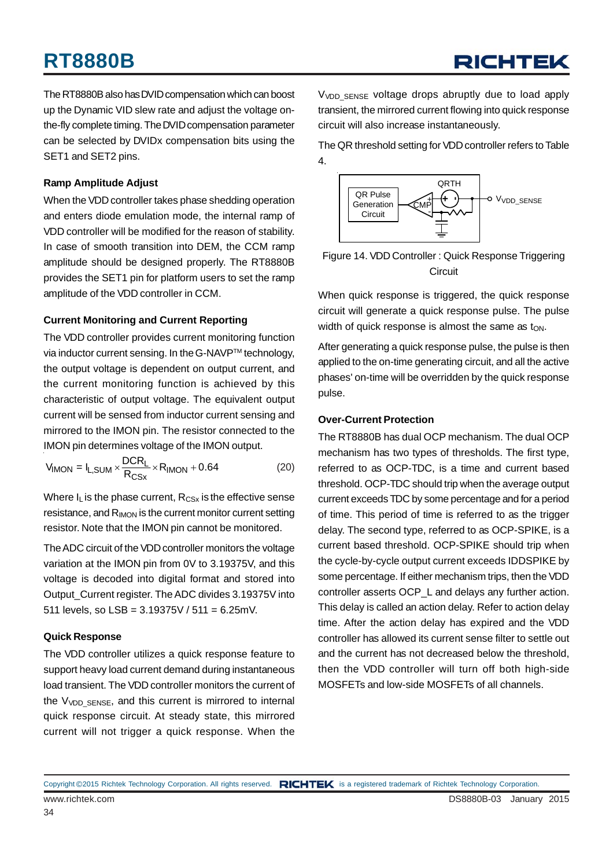The RT8880B also has DVID compensation which can boost up the Dynamic VID slew rate and adjust the voltage onthe-fly complete timing. The DVID compensation parameter can be selected by DVIDx compensation bits using the SET1 and SET2 pins.

#### **Ramp Amplitude Adjust**

When the VDD controller takes phase shedding operation and enters diode emulation mode, the internal ramp of VDD controller will be modified for the reason of stability. In case of smooth transition into DEM, the CCM ramp amplitude should be designed properly. The RT8880B provides the SET1 pin for platform users to set the ramp amplitude of the VDD controller in CCM.

#### **Current Monitoring and Current Reporting**

The VDD controller provides current monitoring function via inductor current sensing. In the G-NAVP™ technology, the output voltage is dependent on output current, and the current monitoring function is achieved by this characteristic of output voltage. The equivalent output current will be sensed from inductor current sensing and mirrored to the IMON pin. The resistor connected to the IMON pin determines voltage of the IMON output.

$$
V_{\text{IMON}} = I_{\text{L,SUM}} \times \frac{\text{DCR}_{\text{L}}}{\text{R}_{\text{CSx}}} \times \text{R}_{\text{IMON}} + 0.64 \tag{20}
$$

Where  $I_L$  is the phase current,  $R_{CSX}$  is the effective sense resistance, and R<sub>IMON</sub> is the current monitor current setting resistor. Note that the IMON pin cannot be monitored.

The ADC circuit of the VDD controller monitors the voltage variation at the IMON pin from 0V to 3.19375V, and this voltage is decoded into digital format and stored into Output\_Current register. The ADC divides 3.19375V into 511 levels, so LSB = 3.19375V / 511 = 6.25mV.

#### **Quick Response**

The VDD controller utilizes a quick response feature to support heavy load current demand during instantaneous load transient. The VDD controller monitors the current of the  $V<sub>VDD</sub>$  sense, and this current is mirrored to internal quick response circuit. At steady state, this mirrored current will not trigger a quick response. When the

V<sub>VDD</sub> SENSE voltage drops abruptly due to load apply transient, the mirrored current flowing into quick response circuit will also increase instantaneously.

The QR threshold setting for VDD controller refers to Table 4.



Figure 14. VDD Controller : Quick Response Triggering **Circuit** 

When quick response is triggered, the quick response circuit will generate a quick response pulse. The pulse width of quick response is almost the same as  $t_{ON}$ .

After generating a quick response pulse, the pulse is then applied to the on-time generating circuit, and all the active phases' on-time will be overridden by the quick response pulse.

#### **Over-Current Protection**

The RT8880B has dual OCP mechanism. The dual OCP mechanism has two types of thresholds. The first type, referred to as OCP-TDC, is a time and current based threshold. OCP-TDC should trip when the average output current exceeds TDC by some percentage and for a period of time. This period of time is referred to as the trigger delay. The second type, referred to as OCP-SPIKE, is a current based threshold. OCP-SPIKE should trip when the cycle-by-cycle output current exceeds IDDSPIKE by some percentage. If either mechanism trips, then the VDD controller asserts OCP\_L and delays any further action. This delay is called an action delay. Refer to action delay time. After the action delay has expired and the VDD controller has allowed its current sense filter to settle out and the current has not decreased below the threshold, then the VDD controller will turn off both high-side MOSFETs and low-side MOSFETs of all channels.

Copyright ©2015 Richtek Technology Corporation. All rights reserved. RICHTEK is a registered trademark of Richtek Technology Corporation.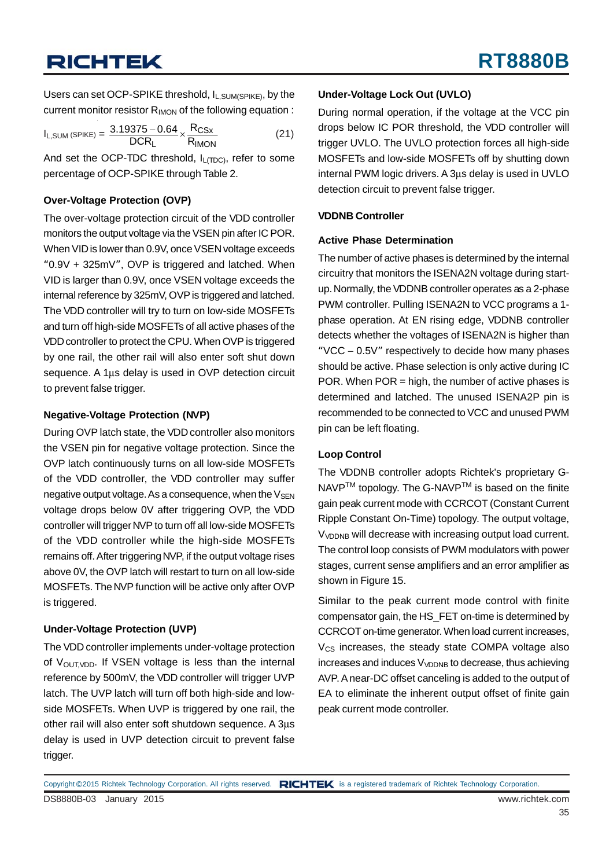Users can set OCP-SPIKE threshold, I<sub>L,SUM(SPIKE)</sub>, by the current monitor resistor R<sub>IMON</sub> of the following equation :

$$
I_{L,SUM}(SPIKE) = \frac{3.19375 - 0.64}{DCR_L} \times \frac{R_{CSx}}{R_{IMON}}
$$
(21)

And set the OCP-TDC threshold,  $I_{L(TDC)}$ , refer to some percentage of OCP-SPIKE through Table 2.

#### **Over-Voltage Protection (OVP)**

The over-voltage protection circuit of the VDD controller monitors the output voltage via the VSEN pin after IC POR. When VID is lower than 0.9V, once VSEN voltage exceeds "0.9V + 325mV", OVP is triggered and latched. When VID is larger than 0.9V, once VSEN voltage exceeds the internal reference by 325mV, OVP is triggered and latched. The VDD controller will try to turn on low-side MOSFETs and turn off high-side MOSFETs of all active phases of the VDD controller to protect the CPU. When OVP is triggered by one rail, the other rail will also enter soft shut down sequence. A 1μs delay is used in OVP detection circuit to prevent false trigger.

#### **Negative-Voltage Protection (NVP)**

During OVP latch state, the VDD controller also monitors the VSEN pin for negative voltage protection. Since the OVP latch continuously turns on all low-side MOSFETs of the VDD controller, the VDD controller may suffer negative output voltage. As a consequence, when the  $V_{\text{SEN}}$ voltage drops below 0V after triggering OVP, the VDD controller will trigger NVP to turn off all low-side MOSFETs of the VDD controller while the high-side MOSFETs remains off. After triggering NVP, if the output voltage rises above 0V, the OVP latch will restart to turn on all low-side MOSFETs. The NVP function will be active only after OVP is triggered.

#### **Under-Voltage Protection (UVP)**

The VDD controller implements under-voltage protection of  $V_{\text{OUTVDD}}$ . If VSEN voltage is less than the internal reference by 500mV, the VDD controller will trigger UVP latch. The UVP latch will turn off both high-side and lowside MOSFETs. When UVP is triggered by one rail, the other rail will also enter soft shutdown sequence. A 3μs delay is used in UVP detection circuit to prevent false trigger.

#### **Under-Voltage Lock Out (UVLO)**

During normal operation, if the voltage at the VCC pin drops below IC POR threshold, the VDD controller will trigger UVLO. The UVLO protection forces all high-side MOSFETs and low-side MOSFETs off by shutting down internal PWM logic drivers. A 3μs delay is used in UVLO detection circuit to prevent false trigger.

#### **VDDNB Controller**

#### **Active Phase Determination**

The number of active phases is determined by the internal circuitry that monitors the ISENA2N voltage during startup. Normally, the VDDNB controller operates as a 2-phase PWM controller. Pulling ISENA2N to VCC programs a 1 phase operation. At EN rising edge, VDDNB controller detects whether the voltages of ISENA2N is higher than "VCC − 0.5V" respectively to decide how many phases should be active. Phase selection is only active during IC POR. When POR = high, the number of active phases is determined and latched. The unused ISENA2P pin is recommended to be connected to VCC and unused PWM pin can be left floating.

#### **Loop Control**

The VDDNB controller adopts Richtek's proprietary G-NAVP<sup>™</sup> topology. The G-NAVP<sup>™</sup> is based on the finite gain peak current mode with CCRCOT (Constant Current Ripple Constant On-Time) topology. The output voltage, V<sub>VDDNB</sub> will decrease with increasing output load current. The control loop consists of PWM modulators with power stages, current sense amplifiers and an error amplifier as shown in Figure 15.

Similar to the peak current mode control with finite compensator gain, the HS\_FET on-time is determined by CCRCOT on-time generator. When load current increases,  $V_{CS}$  increases, the steady state COMPA voltage also  $increases$  and induces  $V<sub>VDDNB</sub>$  to decrease, thus achieving AVP. A near-DC offset canceling is added to the output of EA to eliminate the inherent output offset of finite gain peak current mode controller.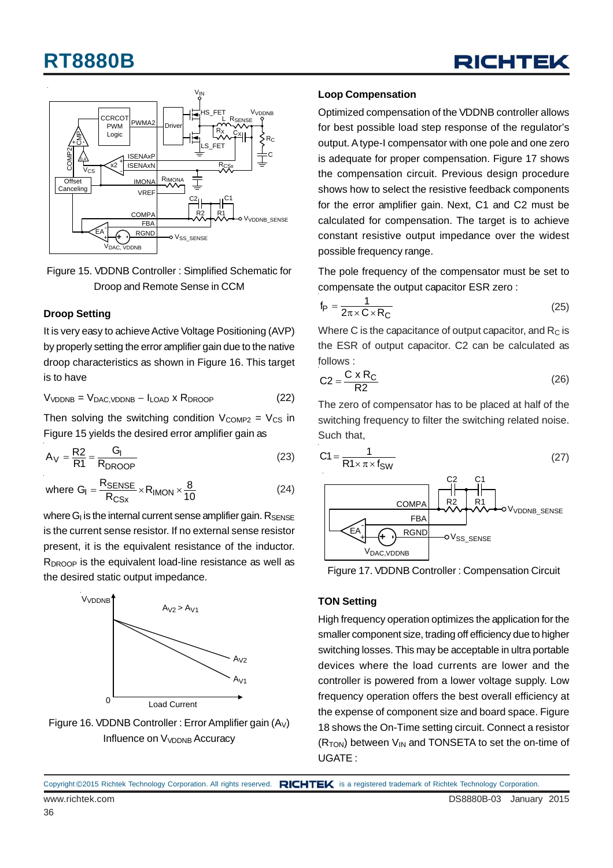



Figure 15. VDDNB Controller : Simplified Schematic for Droop and Remote Sense in CCM

#### **Droop Setting**

It is very easy to achieve Active Voltage Positioning (AVP) by properly setting the error amplifier gain due to the native droop characteristics as shown in Figure 16. This target is to have

$$
V_{VDDNB} = V_{DAC, VDDNB} - I_{LOAD} \times R_{DROOP}
$$
 (22)

Then solving the switching condition  $V_{COMP2} = V_{CS}$  in Figure 15 yields the desired error amplifier gain as

$$
A_V = \frac{R2}{R1} = \frac{G_I}{R_{DROOP}}
$$
 (23)

where 
$$
G_{I} = \frac{R_{\text{SENSE}}}{R_{\text{CSx}}} \times R_{\text{IMON}} \times \frac{8}{10}
$$
 (24)

where  $G<sub>l</sub>$  is the internal current sense amplifier gain.  $R_{\text{SENSE}}$ is the current sense resistor. If no external sense resistor present, it is the equivalent resistance of the inductor. R<sub>DROOP</sub> is the equivalent load-line resistance as well as the desired static output impedance.





#### **Loop Compensation**

Optimized compensation of the VDDNB controller allows for best possible load step response of the regulator's output. A type-I compensator with one pole and one zero is adequate for proper compensation. Figure 17 shows the compensation circuit. Previous design procedure shows how to select the resistive feedback components for the error amplifier gain. Next, C1 and C2 must be calculated for compensation. The target is to achieve constant resistive output impedance over the widest possible frequency range.

The pole frequency of the compensator must be set to compensate the output capacitor ESR zero :

$$
f_{\rm P} = \frac{1}{2\pi \times C \times R_{\rm C}}\tag{25}
$$

Where C is the capacitance of output capacitor, and  $R<sub>C</sub>$  is the ESR of output capacitor. C2 can be calculated as follows :

$$
C2 = \frac{C \times R_C}{R2}
$$
 (26)

The zero of compensator has to be placed at half of the switching frequency to filter the switching related noise. Such that,

$$
C1 = \frac{1}{R1 \times \pi \times f_{SW}}
$$
 (27)





#### **TON Setting**

High frequency operation optimizes the application for the smaller component size, trading off efficiency due to higher switching losses. This may be acceptable in ultra portable devices where the load currents are lower and the controller is powered from a lower voltage supply. Low frequency operation offers the best overall efficiency at the expense of component size and board space. Figure 18 shows the On-Time setting circuit. Connect a resistor  $(R<sub>TON</sub>)$  between  $V<sub>IN</sub>$  and TONSETA to set the on-time of UGATE :

www.richtek.com **DS8880B-03** January 2015 Copyright ©2015 Richtek Technology Corporation. All rights reserved. RICHTEK is a registered trademark of Richtek Technology Corporation.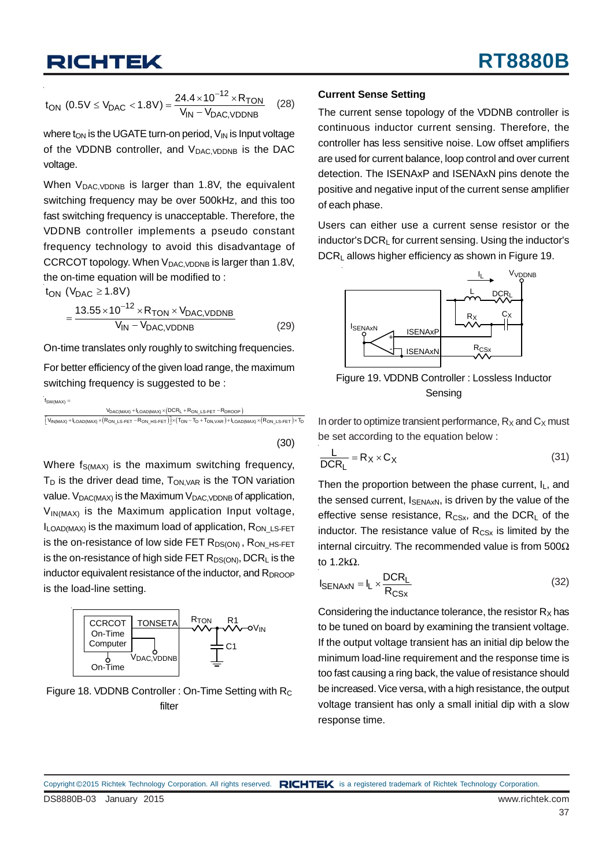$$
t_{ON} (0.5V \le V_{DAC} < 1.8V) = \frac{24.4 \times 10^{-12} \times R_{TON}}{V_{IN} - V_{DAC, VDDNB}}
$$
 (28)

where  $t_{ON}$  is the UGATE turn-on period,  $V_{IN}$  is Input voltage of the VDDNB controller, and  $V_{DAC, VDDNB}$  is the DAC voltage.

When  $V_{DAC, VDDNB}$  is larger than 1.8V, the equivalent switching frequency may be over 500kHz, and this too fast switching frequency is unacceptable. Therefore, the VDDNB controller implements a pseudo constant frequency technology to avoid this disadvantage of CCRCOT topology. When V<sub>DAC, VDDNB</sub> is larger than 1.8V, the on-time equation will be modified to :

t<sub>ON</sub> (V<sub>DAC</sub>  $\geq$  1.8V)

$$
=\frac{13.55\times10^{-12}\times R_{\text{TON}}\times V_{\text{DAC,VDDNB}}}{V_{\text{IN}}-V_{\text{DAC,VDDNB}}}
$$
(29)

On-time translates only roughly to switching frequencies.

For better efficiency of the given load range, the maximum switching frequency is suggested to be :

 $f_{SW(MAX)} =$ 

$$
\frac{V_{DAC(MAX)}+l_{OAD(MAX)} \times \left(DCR_L+R_{ON\_LS-FET}-R_{DROOP}\right)}{\left[ V_{IN(MAX)}+l_{OAD(MAX)} \times \left(R_{ON\_LS-FET}-R_{ON\_HS-FET}\right)\right] \times \left(T_{ON}-T_D+T_{ON,VAR}\right)+l_{LOAD(MAX)} \times \left(R_{ON\_LS-FET}\right) \times T_{DN\_R} \times \left(R_{ON\_LS-FET}-R_{ON\_R}+R_{ON\_R}+R_{ON\_R}\right)}.
$$

(30)

Where  $f_{S(MAX)}$  is the maximum switching frequency,  $T_D$  is the driver dead time,  $T_{ON,VAR}$  is the TON variation value.  $V_{DAC(MAX)}$  is the Maximum  $V_{DAC, VDDNB}$  of application,  $V_{IN(MAX)}$  is the Maximum application Input voltage,  $I_{\text{LOAD}(MAX)}$  is the maximum load of application,  $R_{\text{ON}}$  LS-FET is the on-resistance of low side FET  $R_{DS(ON)}$ ,  $R_{ONHSEET}$ is the on-resistance of high side FET  $R_{DS(ON)}$ , DCR<sub>L</sub> is the inductor equivalent resistance of the inductor, and  $R_{DROOP}$ is the load-line setting.



Figure 18. VDDNB Controller : On-Time Setting with R<sub>C</sub> filter

#### **Current Sense Setting**

The current sense topology of the VDDNB controller is continuous inductor current sensing. Therefore, the controller has less sensitive noise. Low offset amplifiers are used for current balance, loop control and over current detection. The ISENAxP and ISENAxN pins denote the positive and negative input of the current sense amplifier of each phase.

Users can either use a current sense resistor or the inductor's DCRL for current sensing. Using the inductor's DCRL allows higher efficiency as shown in Figure 19.



Figure 19. VDDNB Controller : Lossless Inductor Sensing

In order to optimize transient performance,  $R_X$  and  $C_X$  must be set according to the equation below :

$$
\frac{L}{DCR_L} = R_X \times C_X \tag{31}
$$

Then the proportion between the phase current,  $I_L$ , and the sensed current,  $I_{\text{SENAxN}}$ , is driven by the value of the effective sense resistance,  $R_{CSx}$ , and the DCR<sub>L</sub> of the inductor. The resistance value of  $R_{CSx}$  is limited by the internal circuitry. The recommended value is from 500Ω to 1.2kΩ.

$$
I_{\text{SENA}xN} = I_L \times \frac{\text{DCR}_L}{R_{\text{CS}x}}
$$
 (32)

Considering the inductance tolerance, the resistor  $R_X$  has to be tuned on board by examining the transient voltage. If the output voltage transient has an initial dip below the minimum load-line requirement and the response time is too fast causing a ring back, the value of resistance should be increased. Vice versa, with a high resistance, the output voltage transient has only a small initial dip with a slow response time.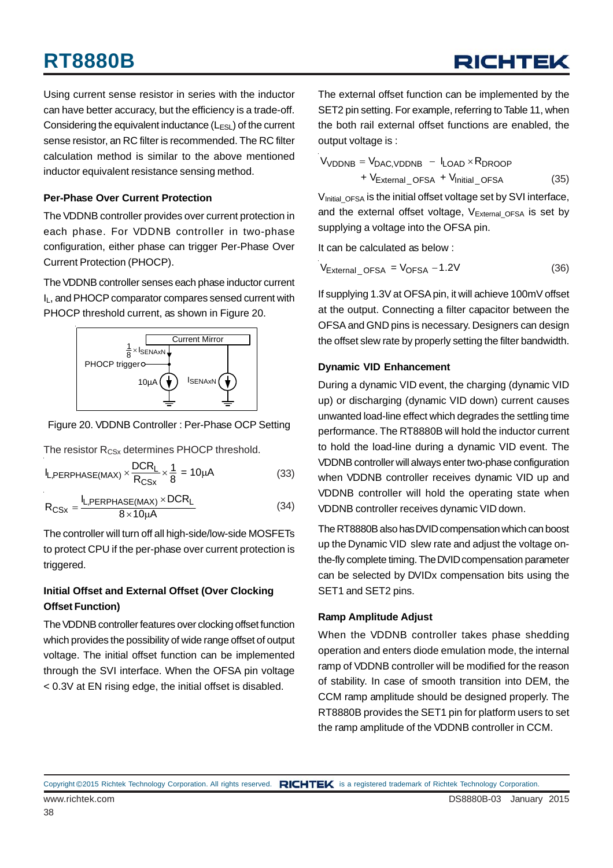Using current sense resistor in series with the inductor can have better accuracy, but the efficiency is a trade-off. Considering the equivalent inductance  $(L_{ESL})$  of the current sense resistor, an RC filter is recommended. The RC filter calculation method is similar to the above mentioned inductor equivalent resistance sensing method.

#### **Per-Phase Over Current Protection**

The VDDNB controller provides over current protection in each phase. For VDDNB controller in two-phase configuration, either phase can trigger Per-Phase Over Current Protection (PHOCP).

The VDDNB controller senses each phase inductor current IL, and PHOCP comparator compares sensed current with PHOCP threshold current, as shown in Figure 20.



Figure 20. VDDNB Controller : Per-Phase OCP Setting

The resistor R<sub>CSx</sub> determines PHOCP threshold.

$$
I_{L,PERPHASE(MAX)} \times \frac{DCR_L}{R_{CSx}} \times \frac{1}{8} = 10 \mu A
$$
 (33)

$$
R_{CSx} = \frac{I_{L,PERPHASE(MAX)} \times DCR_L}{8 \times 10 \mu A}
$$
 (34)

The controller will turn off all high-side/low-side MOSFETs to protect CPU if the per-phase over current protection is triggered.

#### **Initial Offset and External Offset (Over Clocking Offset Function)**

The VDDNB controller features over clocking offset function which provides the possibility of wide range offset of output voltage. The initial offset function can be implemented through the SVI interface. When the OFSA pin voltage < 0.3V at EN rising edge, the initial offset is disabled.

The external offset function can be implemented by the SET2 pin setting. For example, referring to Table 11, when the both rail external offset functions are enabled, the output voltage is :

$$
V_{VDDNB} = V_{DAC, VDDNB} - I_{LOAD} \times R_{DROOP}
$$
  
+ 
$$
V_{External_OFSA} + V_{Initial_OFSA}
$$
 (35)

V<sub>Initial\_OFSA</sub> is the initial offset voltage set by SVI interface, and the external offset voltage,  $V_{External OFSA}$  is set by supplying a voltage into the OFSA pin.

It can be calculated as below :

 $V_{\text{External\_OFSA}} = V_{\text{OFSA}} - 1.2V$  (36)

If supplying 1.3V at OFSA pin, it will achieve 100mV offset at the output. Connecting a filter capacitor between the OFSA and GND pins is necessary. Designers can design the offset slew rate by properly setting the filter bandwidth.

#### **Dynamic VID Enhancement**

During a dynamic VID event, the charging (dynamic VID up) or discharging (dynamic VID down) current causes unwanted load-line effect which degrades the settling time performance. The RT8880B will hold the inductor current to hold the load-line during a dynamic VID event. The VDDNB controller will always enter two-phase configuration when VDDNB controller receives dynamic VID up and VDDNB controller will hold the operating state when VDDNB controller receives dynamic VID down.

The RT8880B also has DVID compensation which can boost up the Dynamic VID slew rate and adjust the voltage onthe-fly complete timing. The DVID compensation parameter can be selected by DVIDx compensation bits using the SET1 and SET2 pins.

#### **Ramp Amplitude Adjust**

When the VDDNB controller takes phase shedding operation and enters diode emulation mode, the internal ramp of VDDNB controller will be modified for the reason of stability. In case of smooth transition into DEM, the CCM ramp amplitude should be designed properly. The RT8880B provides the SET1 pin for platform users to set the ramp amplitude of the VDDNB controller in CCM.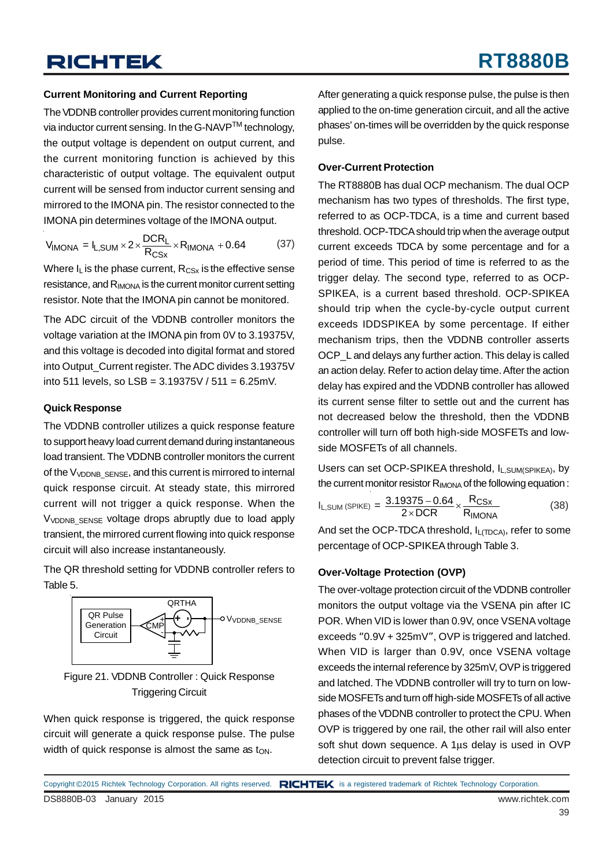#### **Current Monitoring and Current Reporting**

The VDDNB controller provides current monitoring function via inductor current sensing. In the G-NAVP™ technology, the output voltage is dependent on output current, and the current monitoring function is achieved by this characteristic of output voltage. The equivalent output current will be sensed from inductor current sensing and mirrored to the IMONA pin. The resistor connected to the IMONA pin determines voltage of the IMONA output.

$$
V_{\text{IMONA}} = I_{\text{L,SUM}} \times 2 \times \frac{\text{DCR}_{\text{L}}}{\text{R}_{\text{CSx}}} \times \text{R}_{\text{IMONA}} + 0.64 \tag{37}
$$

Where  $I_L$  is the phase current,  $R_{CSX}$  is the effective sense resistance, and R<sub>IMONA</sub> is the current monitor current setting resistor. Note that the IMONA pin cannot be monitored.

The ADC circuit of the VDDNB controller monitors the voltage variation at the IMONA pin from 0V to 3.19375V, and this voltage is decoded into digital format and stored into Output Current register. The ADC divides 3.19375V into 511 levels, so  $LSB = 3.19375V / 511 = 6.25mV$ .

#### **Quick Response**

The VDDNB controller utilizes a quick response feature to support heavy load current demand during instantaneous load transient. The VDDNB controller monitors the current of the V<sub>VDDNB</sub> SENSE, and this current is mirrored to internal quick response circuit. At steady state, this mirrored current will not trigger a quick response. When the V<sub>VDDNB</sub> SENSE voltage drops abruptly due to load apply transient, the mirrored current flowing into quick response circuit will also increase instantaneously.

The QR threshold setting for VDDNB controller refers to Table 5.





When quick response is triggered, the quick response circuit will generate a quick response pulse. The pulse width of quick response is almost the same as  $t_{ON}$ .

After generating a quick response pulse, the pulse is then applied to the on-time generation circuit, and all the active phases' on-times will be overridden by the quick response pulse.

#### **Over-Current Protection**

The RT8880B has dual OCP mechanism. The dual OCP mechanism has two types of thresholds. The first type, referred to as OCP-TDCA, is a time and current based threshold. OCP-TDCA should trip when the average output current exceeds TDCA by some percentage and for a period of time. This period of time is referred to as the trigger delay. The second type, referred to as OCP-SPIKEA, is a current based threshold. OCP-SPIKEA should trip when the cycle-by-cycle output current exceeds IDDSPIKEA by some percentage. If either mechanism trips, then the VDDNB controller asserts OCP\_L and delays any further action. This delay is called an action delay. Refer to action delay time. After the action delay has expired and the VDDNB controller has allowed its current sense filter to settle out and the current has not decreased below the threshold, then the VDDNB controller will turn off both high-side MOSFETs and lowside MOSFETs of all channels.

Users can set OCP-SPIKEA threshold, I<sub>L,SUM(SPIKEA)</sub>, by the current monitor resistor  $R_{MOMA}$  of the following equation :

$$
I_{L,SUM (SPIKE)} = \frac{3.19375 - 0.64}{2 \times DCR} \times \frac{R_{CSx}}{R_{IMONA}}
$$
 (38)

And set the OCP-TDCA threshold,  $I_{L(TDCA)}$ , refer to some percentage of OCP-SPIKEA through Table 3.

#### **Over-Voltage Protection (OVP)**

The over-voltage protection circuit of the VDDNB controller monitors the output voltage via the VSENA pin after IC POR. When VID is lower than 0.9V, once VSENA voltage exceeds "0.9V + 325mV", OVP is triggered and latched. When VID is larger than 0.9V, once VSENA voltage exceeds the internal reference by 325mV, OVP is triggered and latched. The VDDNB controller will try to turn on lowside MOSFETs and turn off high-side MOSFETs of all active phases of the VDDNB controller to protect the CPU. When OVP is triggered by one rail, the other rail will also enter soft shut down sequence. A 1μs delay is used in OVP detection circuit to prevent false trigger.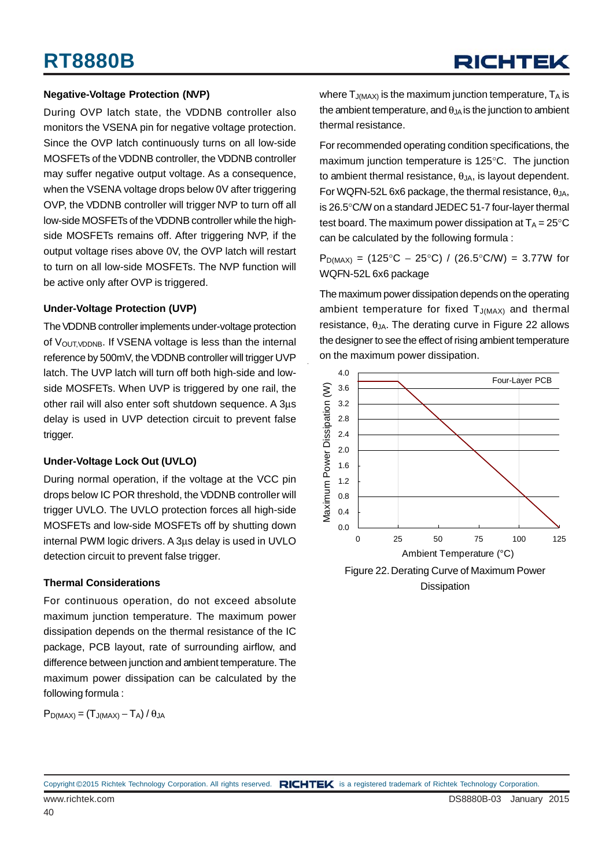#### **Negative-Voltage Protection (NVP)**

During OVP latch state, the VDDNB controller also monitors the VSENA pin for negative voltage protection. Since the OVP latch continuously turns on all low-side MOSFETs of the VDDNB controller, the VDDNB controller may suffer negative output voltage. As a consequence, when the VSENA voltage drops below 0V after triggering OVP, the VDDNB controller will trigger NVP to turn off all low-side MOSFETs of the VDDNB controller while the highside MOSFETs remains off. After triggering NVP, if the output voltage rises above 0V, the OVP latch will restart to turn on all low-side MOSFETs. The NVP function will be active only after OVP is triggered.

#### **Under-Voltage Protection (UVP)**

The VDDNB controller implements under-voltage protection of V<sub>OUT, VDDNB</sub>. If VSENA voltage is less than the internal reference by 500mV, the VDDNB controller will trigger UVP latch. The UVP latch will turn off both high-side and lowside MOSFETs. When UVP is triggered by one rail, the other rail will also enter soft shutdown sequence. A 3μs delay is used in UVP detection circuit to prevent false trigger.

#### **Under-Voltage Lock Out (UVLO)**

During normal operation, if the voltage at the VCC pin drops below IC POR threshold, the VDDNB controller will trigger UVLO. The UVLO protection forces all high-side MOSFETs and low-side MOSFETs off by shutting down internal PWM logic drivers. A 3μs delay is used in UVLO detection circuit to prevent false trigger.

#### **Thermal Considerations**

For continuous operation, do not exceed absolute maximum junction temperature. The maximum power dissipation depends on the thermal resistance of the IC package, PCB layout, rate of surrounding airflow, and difference between junction and ambient temperature. The maximum power dissipation can be calculated by the following formula :

$$
P_{D(MAX)}=\left(T_{J(MAX)}-T_A\right)/\,\theta_{JA}
$$

where  $T_{J(MAX)}$  is the maximum junction temperature,  $T_A$  is the ambient temperature, and  $\theta_{JA}$  is the junction to ambient thermal resistance.

For recommended operating condition specifications, the maximum junction temperature is 125°C. The junction to ambient thermal resistance,  $\theta_{JA}$ , is layout dependent. For WQFN-52L 6x6 package, the thermal resistance,  $θ_{JA}$ , is 26.5°C/W on a standard JEDEC 51-7 four-layer thermal test board. The maximum power dissipation at  $T_A = 25^{\circ}C$ can be calculated by the following formula :

 $P_{D(MAX)} = (125\degree C - 25\degree C) / (26.5\degree C/W) = 3.77W$  for WQFN-52L 6x6 package

The maximum power dissipation depends on the operating ambient temperature for fixed  $T_{J(MAX)}$  and thermal resistance,  $θ_{JA}$ . The derating curve in Figure 22 allows the designer to see the effect of rising ambient temperature on the maximum power dissipation.



**Dissipation**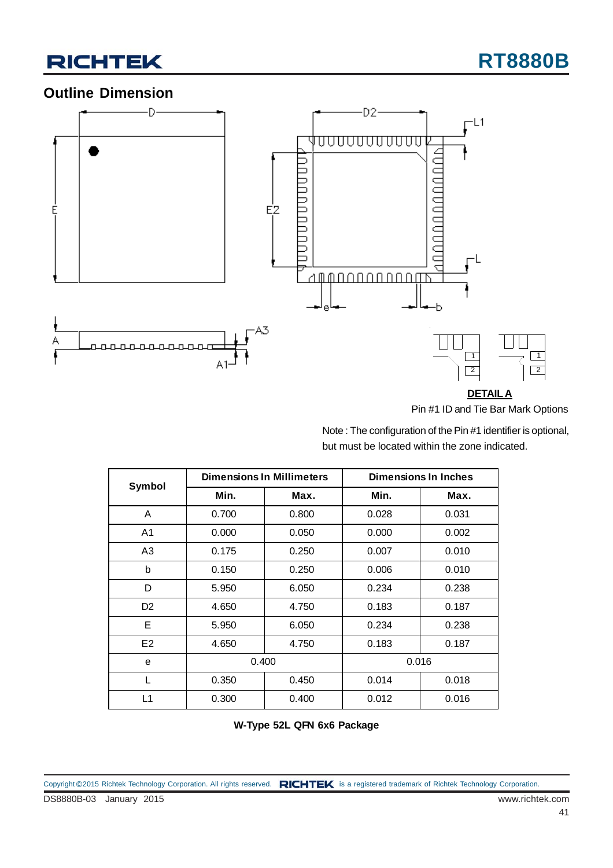

### **Outline Dimension**



Pin #1 ID and Tie Bar Mark Options

Note : The configuration of the Pin #1 identifier is optional, but must be located within the zone indicated.

| Symbol         | <b>Dimensions In Millimeters</b> |       | <b>Dimensions In Inches</b> |       |
|----------------|----------------------------------|-------|-----------------------------|-------|
|                | Min.                             | Max.  | Min.                        | Max.  |
| A              | 0.700                            | 0.800 | 0.028                       | 0.031 |
| A <sub>1</sub> | 0.000                            | 0.050 | 0.000                       | 0.002 |
| A <sub>3</sub> | 0.175                            | 0.250 | 0.007                       | 0.010 |
| b              | 0.150                            | 0.250 | 0.006                       | 0.010 |
| D              | 5.950                            | 6.050 | 0.234                       | 0.238 |
| D <sub>2</sub> | 4.650                            | 4.750 | 0.183                       | 0.187 |
| E              | 5.950                            | 6.050 | 0.234                       | 0.238 |
| E <sub>2</sub> | 4.650                            | 4.750 | 0.183                       | 0.187 |
| e              | 0.400                            |       | 0.016                       |       |
| L              | 0.350                            | 0.450 | 0.014                       | 0.018 |
| L1             | 0.300                            | 0.400 | 0.012                       | 0.016 |

**W-Type 52L QFN 6x6 Package**